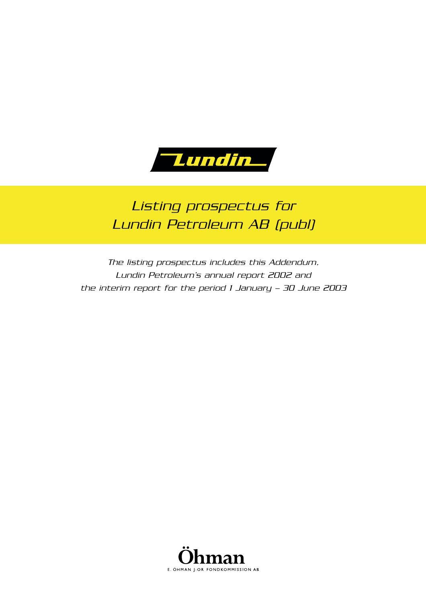

# *Listing prospectus for Lundin Petroleum AB (publ)*

*The listing prospectus includes this Addendum, Lundin Petroleum's annual report 2002 and the interim report for the period 1 January – 30 June 2003* 

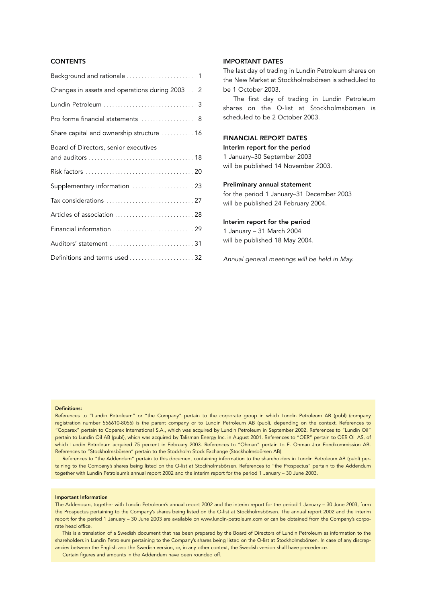## **CONTENTS**

#### IMPORTANT DATES

The last day of trading in Lundin Petroleum shares on the New Market at Stockholmsbörsen is scheduled to be 1 October 2003.

The first day of trading in Lundin Petroleum shares on the O-list at Stockholmsbörsen is scheduled to be 2 October 2003.

#### FINANCIAL REPORT DATES

Interim report for the period 1 January–30 September 2003 will be published 14 November 2003.

#### Preliminary annual statement

for the period 1 January–31 December 2003 will be published 24 February 2004.

#### Interim report for the period

1 January – 31 March 2004 will be published 18 May 2004.

*Annual general meetings will be held in May.* 

#### Definitions:

References to "Lundin Petroleum" or "the Company" pertain to the corporate group in which Lundin Petroleum AB (publ) (company registration number 556610-8055) is the parent company or to Lundin Petroleum AB (publ), depending on the context. References to "Coparex" pertain to Coparex International S.A., which was acquired by Lundin Petroleum in September 2002. References to "Lundin Oil" pertain to Lundin Oil AB (publ), which was acquired by Talisman Energy Inc. in August 2001. References to "OER" pertain to OER Oil AS, of which Lundin Petroleum acquired 75 percent in February 2003. References to "Öhman" pertain to E. Öhman J:or Fondkommission AB. References to "Stockholmsbörsen" pertain to the Stockholm Stock Exchange (Stockholmsbörsen AB).

References to "the Addendum" pertain to this document containing information to the shareholders in Lundin Petroleum AB (publ) pertaining to the Company's shares being listed on the O-list at Stockholmsbörsen. References to "the Prospectus" pertain to the Addendum together with Lundin Petroleum's annual report 2002 and the interim report for the period 1 January – 30 June 2003.

#### Important Information

The Addendum, together with Lundin Petroleum's annual report 2002 and the interim report for the period 1 January – 30 June 2003, form the Prospectus pertaining to the Company's shares being listed on the O-list at Stockholmsbörsen. The annual report 2002 and the interim report for the period 1 January – 30 June 2003 are available on www.lundin-petroleum.com or can be obtained from the Company's corporate head office.

This is a translation of a Swedish document that has been prepared by the Board of Directors of Lundin Petroleum as information to the shareholders in Lundin Petroleum pertaining to the Company's shares being listed on the O-list at Stockholmsbörsen. In case of any discrepancies between the English and the Swedish version, or, in any other context, the Swedish version shall have precedence. Certain figures and amounts in the Addendum have been rounded off.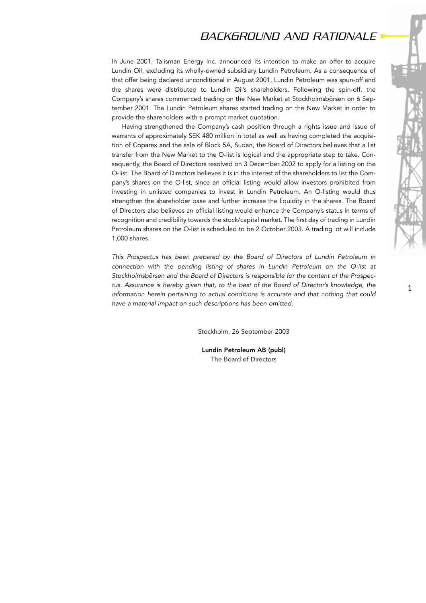# *BACKGROUND AND RATIONALE*

In June 2001, Talisman Energy Inc. announced its intention to make an offer to acquire Lundin Oil, excluding its wholly-owned subsidiary Lundin Petroleum. As a consequence of that offer being declared unconditional in August 2001, Lundin Petroleum was spun-off and the shares were distributed to Lundin Oil's shareholders. Following the spin-off, the Company's shares commenced trading on the New Market at Stockholmsbörsen on 6 September 2001. The Lundin Petroleum shares started trading on the New Market in order to provide the shareholders with a prompt market quotation.

Having strengthened the Company's cash position through a rights issue and issue of warrants of approximately SEK 480 million in total as well as having completed the acquisition of Coparex and the sale of Block 5A, Sudan, the Board of Directors believes that a list transfer from the New Market to the O-list is logical and the appropriate step to take. Consequently, the Board of Directors resolved on 3 December 2002 to apply for a listing on the O-list. The Board of Directors believes it is in the interest of the shareholders to list the Company's shares on the O-list, since an official listing would allow investors prohibited from investing in unlisted companies to invest in Lundin Petroleum. An O-listing would thus strengthen the shareholder base and further increase the liquidity in the shares. The Board of Directors also believes an official listing would enhance the Company's status in terms of recognition and credibility towards the stock/capital market. The first day of trading in Lundin Petroleum shares on the O-list is scheduled to be 2 October 2003. A trading lot will include 1,000 shares.

*This Prospectus has been prepared by the Board of Directors of Lundin Petroleum in connection with the pending listing of shares in Lundin Petroleum on the O-list at Stockholmsbörsen and the Board of Directors is responsible for the content of the Prospectus. Assurance is hereby given that, to the best of the Board of Director's knowledge, the information herein pertaining to actual conditions is accurate and that nothing that could have a material impact on such descriptions has been omitted.*

Stockholm, 26 September 2003

Lundin Petroleum AB (publ) The Board of Directors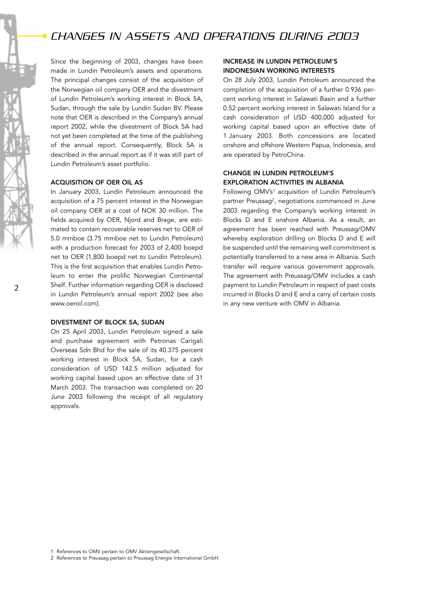# *CHANGES IN ASSETS AND OPERATIONS DURING 2003*

Since the beginning of 2003, changes have been made in Lundin Petroleum's assets and operations. The principal changes consist of the acquisition of the Norwegian oil company OER and the divestment of Lundin Petroleum's working interest in Block 5A, Sudan, through the sale by Lundin Sudan BV. Please note that OER is described in the Company's annual report 2002, while the divestment of Block 5A had not yet been completed at the time of the publishing of the annual report. Consequently, Block 5A is described in the annual report as if it was still part of Lundin Petroleum's asset portfolio.

#### ACQUISITION OF OER OIL AS

In January 2003, Lundin Petroleum announced the acquisition of a 75 percent interest in the Norwegian oil company OER at a cost of NOK 30 million. The fields acquired by OER, Njord and Brage, are estimated to contain recoverable reserves net to OER of 5.0 mmboe (3.75 mmboe net to Lundin Petroleum) with a production forecast for 2003 of 2,400 boepd net to OER (1,800 boepd net to Lundin Petroleum). This is the first acquisition that enables Lundin Petroleum to enter the prolific Norwegian Continental Shelf. Further information regarding OER is disclosed in Lundin Petroleum's annual report 2002 (see also www.oeroil.com).

#### DIVESTMENT OF BLOCK 5A, SUDAN

On 25 April 2003, Lundin Petroleum signed a sale and purchase agreement with Petronas Carigali Overseas Sdn Bhd for the sale of its 40.375 percent working interest in Block 5A, Sudan, for a cash consideration of USD 142.5 million adjusted for working capital based upon an effective date of 31 March 2003. The transaction was completed on 20 June 2003 following the receipt of all regulatory approvals.

## INCREASE IN LUNDIN PETROLEUM'S INDONESIAN WORKING INTERESTS

On 28 July 2003, Lundin Petroleum announced the completion of the acquisition of a further 0.936 percent working interest in Salawati Basin and a further 0.52 percent working interest in Salawati Island for a cash consideration of USD 400,000 adjusted for working capital based upon an effective date of 1 January 2003. Both concessions are located onshore and offshore Western Papua, Indonesia, and are operated by PetroChina.

## CHANGE IN LUNDIN PETROLEUM'S EXPLORATION ACTIVITIES IN ALBANIA

Following OMV's<sup>1</sup> acquisition of Lundin Petroleum's partner Preussag2, negotiations commenced in June 2003 regarding the Company's working interest in Blocks D and E onshore Albania. As a result, an agreement has been reached with Preussag/OMV whereby exploration drilling on Blocks D and E will be suspended until the remaining well commitment is potentially transferred to a new area in Albania. Such transfer will require various government approvals. The agreement with Preussag/OMV includes a cash payment to Lundin Petroleum in respect of past costs incurred in Blocks D and E and a carry of certain costs in any new venture with OMV in Albania.

<sup>1</sup> References to OMV pertain to OMV Aktiengesellschaft.

<sup>2</sup> References to Preussag pertain to Preussag Energie International GmbH.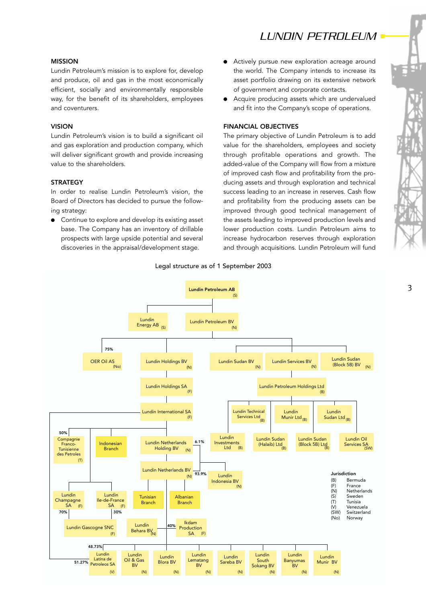# *LUNDIN PETROLEUM*

## MISSION

Lundin Petroleum's mission is to explore for, develop and produce, oil and gas in the most economically efficient, socially and environmentally responsible way, for the benefit of its shareholders, employees and coventurers.

### VISION

Lundin Petroleum's vision is to build a significant oil and gas exploration and production company, which will deliver significant growth and provide increasing value to the shareholders.

#### **STRATEGY**

In order to realise Lundin Petroleum's vision, the Board of Directors has decided to pursue the following strategy:

● Continue to explore and develop its existing asset base. The Company has an inventory of drillable prospects with large upside potential and several discoveries in the appraisal/development stage.

- Actively pursue new exploration acreage around the world. The Company intends to increase its asset portfolio drawing on its extensive network of government and corporate contacts.
- Acquire producing assets which are undervalued and fit into the Company's scope of operations.

#### FINANCIAL OBJECTIVES

The primary objective of Lundin Petroleum is to add value for the shareholders, employees and society through profitable operations and growth. The added-value of the Company will flow from a mixture of improved cash flow and profitability from the producing assets and through exploration and technical success leading to an increase in reserves. Cash flow and profitability from the producing assets can be improved through good technical management of the assets leading to improved production levels and lower production costs. Lundin Petroleum aims to increase hydrocarbon reserves through exploration and through acquisitions. Lundin Petroleum will fund

#### Legal structure as of 1 September 2003

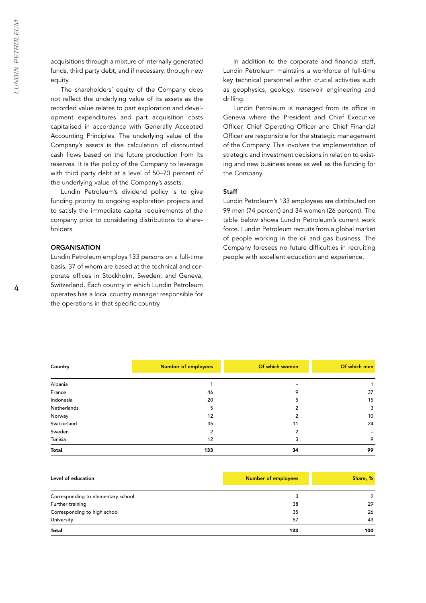acquisitions through a mixture of internally generated funds, third party debt, and if necessary, through new equity.

The shareholders' equity of the Company does not reflect the underlying value of its assets as the recorded value relates to part exploration and development expenditures and part acquisition costs capitalised in accordance with Generally Accepted Accounting Principles. The underlying value of the Company's assets is the calculation of discounted cash flows based on the future production from its reserves. It is the policy of the Company to leverage with third party debt at a level of 50–70 percent of the underlying value of the Company's assets.

Lundin Petroleum's dividend policy is to give funding priority to ongoing exploration projects and to satisfy the immediate capital requirements of the company prior to considering distributions to shareholders.

### **ORGANISATION**

Lundin Petroleum employs 133 persons on a full-time basis, 37 of whom are based at the technical and corporate offices in Stockholm, Sweden, and Geneva, Switzerland. Each country in which Lundin Petroleum operates has a local country manager responsible for the operations in that specific country.

In addition to the corporate and financial staff, Lundin Petroleum maintains a workforce of full-time key technical personnel within crucial activities such as geophysics, geology, reservoir engineering and drilling.

Lundin Petroleum is managed from its office in Geneva where the President and Chief Executive Officer, Chief Operating Officer and Chief Financial Officer are responsible for the strategic management of the Company. This involves the implementation of strategic and investment decisions in relation to existing and new business areas as well as the funding for the Company.

### Staff

Lundin Petroleum's 133 employees are distributed on 99 men (74 percent) and 34 women (26 percent). The table below shows Lundin Petroleum's current work force. Lundin Petroleum recruits from a global market of people working in the oil and gas business. The Company foresees no future difficulties in recruiting people with excellent education and experience.

| Country      | <b>Number of employees</b> | Of which women | Of which men |
|--------------|----------------------------|----------------|--------------|
| Albania      |                            |                | 1            |
| France       | 46                         | 9              | 37           |
| Indonesia    | 20                         | 5              | 15           |
| Netherlands  | 5                          |                | 3            |
| Norway       | 12                         |                | 10           |
| Switzerland  | 35                         | 11             | 24           |
| Sweden       | 2                          |                |              |
| Tunisia      | 12                         |                | 9            |
| <b>Total</b> | 133                        | 34             | 99           |

| Level of education                 | <b>Number of employees</b> | Share, % |
|------------------------------------|----------------------------|----------|
|                                    |                            |          |
| Corresponding to elementary school |                            | 2        |
| Further training                   | 38                         | 29       |
| Corresponding to high school       | 35                         | 26       |
| University                         | 57                         | 43       |
| <b>Total</b>                       | 133                        | 100      |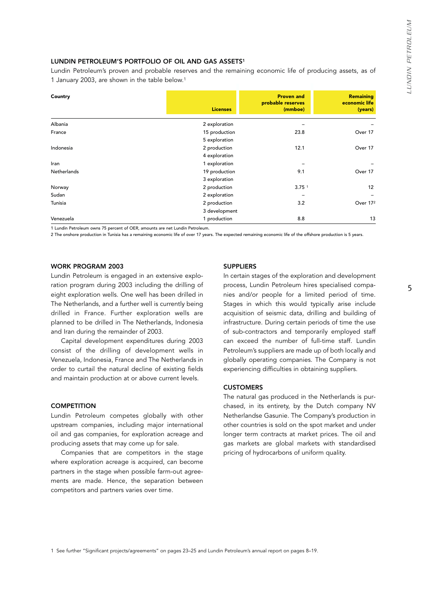## LUNDIN PETROLEUM'S PORTFOLIO OF OIL AND GAS ASSETS<sup>1</sup>

Lundin Petroleum's proven and probable reserves and the remaining economic life of producing assets, as of 1 January 2003, are shown in the table below.1

| Country     | <b>Licenses</b> | <b>Proven and</b><br>probable reserves<br>(mmboe) | <b>Remaining</b><br>economic life<br>(years) |
|-------------|-----------------|---------------------------------------------------|----------------------------------------------|
| Albania     | 2 exploration   |                                                   |                                              |
| France      | 15 production   | 23.8                                              | Over 17                                      |
|             | 5 exploration   |                                                   |                                              |
| Indonesia   | 2 production    | 12.1                                              | Over 17                                      |
|             | 4 exploration   |                                                   |                                              |
| Iran        | 1 exploration   |                                                   |                                              |
| Netherlands | 19 production   | 9.1                                               | Over 17                                      |
|             | 3 exploration   |                                                   |                                              |
| Norway      | 2 production    | 3.75 <sup>1</sup>                                 | 12                                           |
| Sudan       | 2 exploration   |                                                   |                                              |
| Tunisia     | 2 production    | 3.2                                               | Over 172                                     |
|             | 3 development   |                                                   |                                              |
| Venezuela   | 1 production    | 8.8                                               | 13                                           |

1 Lundin Petroleum owns 75 percent of OER, amounts are net Lundin Petroleum.

2 The onshore production in Tunisia has a remaining economic life of over 17 years. The expected remaining economic life of the offshore production is 5 years.

#### WORK PROGRAM 2003

Lundin Petroleum is engaged in an extensive exploration program during 2003 including the drilling of eight exploration wells. One well has been drilled in The Netherlands, and a further well is currently being drilled in France. Further exploration wells are planned to be drilled in The Netherlands, Indonesia and Iran during the remainder of 2003.

Capital development expenditures during 2003 consist of the drilling of development wells in Venezuela, Indonesia, France and The Netherlands in order to curtail the natural decline of existing fields and maintain production at or above current levels.

#### **COMPETITION**

Lundin Petroleum competes globally with other upstream companies, including major international oil and gas companies, for exploration acreage and producing assets that may come up for sale.

Companies that are competitors in the stage where exploration acreage is acquired, can become partners in the stage when possible farm-out agreements are made. Hence, the separation between competitors and partners varies over time.

#### **SUPPLIERS**

In certain stages of the exploration and development process, Lundin Petroleum hires specialised companies and/or people for a limited period of time. Stages in which this would typically arise include acquisition of seismic data, drilling and building of infrastructure. During certain periods of time the use of sub-contractors and temporarily employed staff can exceed the number of full-time staff. Lundin Petroleum's suppliers are made up of both locally and globally operating companies. The Company is not experiencing difficulties in obtaining suppliers.

#### **CUSTOMERS**

The natural gas produced in the Netherlands is purchased, in its entirety, by the Dutch company NV Netherlandse Gasunie. The Company's production in other countries is sold on the spot market and under longer term contracts at market prices. The oil and gas markets are global markets with standardised pricing of hydrocarbons of uniform quality.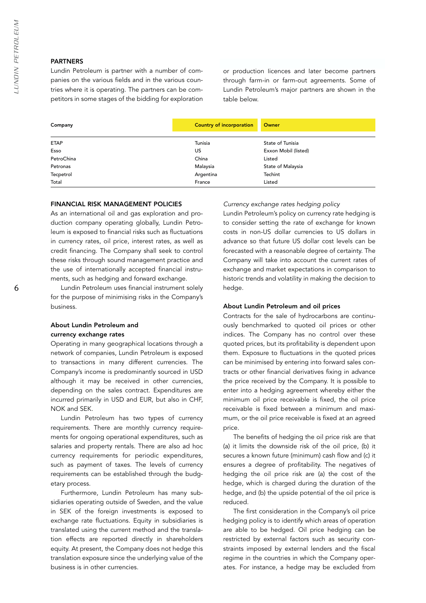#### PARTNERS

Lundin Petroleum is partner with a number of companies on the various fields and in the various countries where it is operating. The partners can be competitors in some stages of the bidding for exploration or production licences and later become partners through farm-in or farm-out agreements. Some of Lundin Petroleum's major partners are shown in the table below.

| Company     | <b>Country of incorporation</b> | Owner                |
|-------------|---------------------------------|----------------------|
|             |                                 |                      |
| <b>ETAP</b> | Tunisia                         | State of Tunisia     |
| Esso        | US                              | Exxon Mobil (listed) |
| PetroChina  | China                           | Listed               |
| Petronas    | Malaysia                        | State of Malaysia    |
| Tecpetrol   | Argentina                       | Techint              |
| Total       | France                          | Listed               |

## FINANCIAL RISK MANAGEMENT POLICIES

As an international oil and gas exploration and production company operating globally, Lundin Petroleum is exposed to financial risks such as fluctuations in currency rates, oil price, interest rates, as well as credit financing. The Company shall seek to control these risks through sound management practice and the use of internationally accepted financial instruments, such as hedging and forward exchange.

Lundin Petroleum uses financial instrument solely for the purpose of minimising risks in the Company's business.

### About Lundin Petroleum and currency exchange rates

Operating in many geographical locations through a network of companies, Lundin Petroleum is exposed to transactions in many different currencies. The Company's income is predominantly sourced in USD although it may be received in other currencies, depending on the sales contract. Expenditures are incurred primarily in USD and EUR, but also in CHF, NOK and SEK.

Lundin Petroleum has two types of currency requirements. There are monthly currency requirements for ongoing operational expenditures, such as salaries and property rentals. There are also ad hoc currency requirements for periodic expenditures, such as payment of taxes. The levels of currency requirements can be established through the budgetary process.

Furthermore, Lundin Petroleum has many subsidiaries operating outside of Sweden, and the value in SEK of the foreign investments is exposed to exchange rate fluctuations. Equity in subsidiaries is translated using the current method and the translation effects are reported directly in shareholders equity. At present, the Company does not hedge this translation exposure since the underlying value of the business is in other currencies.

#### *Currency exchange rates hedging policy*

Lundin Petroleum's policy on currency rate hedging is to consider setting the rate of exchange for known costs in non-US dollar currencies to US dollars in advance so that future US dollar cost levels can be forecasted with a reasonable degree of certainty. The Company will take into account the current rates of exchange and market expectations in comparison to historic trends and volatility in making the decision to hedge.

#### About Lundin Petroleum and oil prices

Contracts for the sale of hydrocarbons are continuously benchmarked to quoted oil prices or other indices. The Company has no control over these quoted prices, but its profitability is dependent upon them. Exposure to fluctuations in the quoted prices can be minimised by entering into forward sales contracts or other financial derivatives fixing in advance the price received by the Company. It is possible to enter into a hedging agreement whereby either the minimum oil price receivable is fixed, the oil price receivable is fixed between a minimum and maximum, or the oil price receivable is fixed at an agreed price.

The benefits of hedging the oil price risk are that (a) it limits the downside risk of the oil price, (b) it secures a known future (minimum) cash flow and (c) it ensures a degree of profitability. The negatives of hedging the oil price risk are (a) the cost of the hedge, which is charged during the duration of the hedge, and (b) the upside potential of the oil price is reduced.

The first consideration in the Company's oil price hedging policy is to identify which areas of operation are able to be hedged. Oil price hedging can be restricted by external factors such as security constraints imposed by external lenders and the fiscal regime in the countries in which the Company operates. For instance, a hedge may be excluded from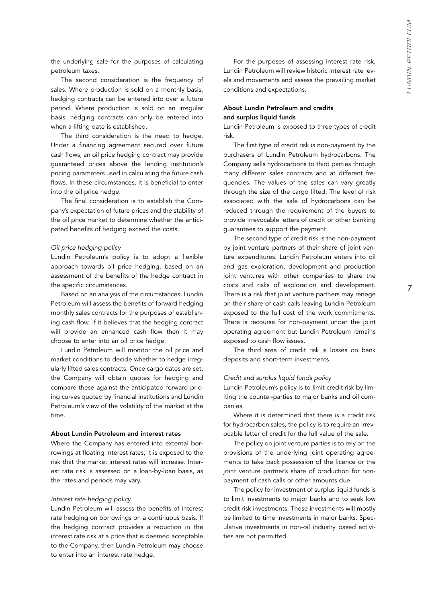the underlying sale for the purposes of calculating petroleum taxes.

The second consideration is the frequency of sales. Where production is sold on a monthly basis, hedging contracts can be entered into over a future period. Where production is sold on an irregular basis, hedging contracts can only be entered into when a lifting date is established.

The third consideration is the need to hedge. Under a financing agreement secured over future cash flows, an oil price hedging contract may provide guaranteed prices above the lending institution's pricing parameters used in calculating the future cash flows. In these circumstances, it is beneficial to enter into the oil price hedge.

The final consideration is to establish the Company's expectation of future prices and the stability of the oil price market to determine whether the anticipated benefits of hedging exceed the costs.

#### *Oil price hedging policy*

Lundin Petroleum's policy is to adopt a flexible approach towards oil price hedging, based on an assessment of the benefits of the hedge contract in the specific circumstances.

Based on an analysis of the circumstances, Lundin Petroleum will assess the benefits of forward hedging monthly sales contracts for the purposes of establishing cash flow. If it believes that the hedging contract will provide an enhanced cash flow then it may choose to enter into an oil price hedge.

Lundin Petroleum will monitor the oil price and market conditions to decide whether to hedge irregularly lifted sales contracts. Once cargo dates are set, the Company will obtain quotes for hedging and compare these against the anticipated forward pricing curves quoted by financial institutions and Lundin Petroleum's view of the volatility of the market at the time.

#### About Lundin Petroleum and interest rates

Where the Company has entered into external borrowings at floating interest rates, it is exposed to the risk that the market interest rates will increase. Interest rate risk is assessed on a loan-by-loan basis, as the rates and periods may vary.

#### *Interest rate hedging policy*

Lundin Petroleum will assess the benefits of interest rate hedging on borrowings on a continuous basis. If the hedging contract provides a reduction in the interest rate risk at a price that is deemed acceptable to the Company, then Lundin Petroleum may choose to enter into an interest rate hedge.

For the purposes of assessing interest rate risk, Lundin Petroleum will review historic interest rate levels and movements and assess the prevailing market conditions and expectations.

## About Lundin Petroleum and credits and surplus liquid funds

Lundin Petroleum is exposed to three types of credit risk.

The first type of credit risk is non-payment by the purchasers of Lundin Petroleum hydrocarbons. The Company sells hydrocarbons to third parties through many different sales contracts and at different frequencies. The values of the sales can vary greatly through the size of the cargo lifted. The level of risk associated with the sale of hydrocarbons can be reduced through the requirement of the buyers to provide irrevocable letters of credit or other banking guarantees to support the payment.

The second type of credit risk is the non-payment by joint venture partners of their share of joint venture expenditures. Lundin Petroleum enters into oil and gas exploration, development and production joint ventures with other companies to share the costs and risks of exploration and development. There is a risk that joint venture partners may renege on their share of cash calls leaving Lundin Petroleum exposed to the full cost of the work commitments. There is recourse for non-payment under the joint operating agreement but Lundin Petroleum remains exposed to cash flow issues.

The third area of credit risk is losses on bank deposits and short-term investments.

#### *Credit and surplus liquid funds policy*

Lundin Petroleum's policy is to limit credit risk by limiting the counter-parties to major banks and oil companies.

Where it is determined that there is a credit risk for hydrocarbon sales, the policy is to require an irrevocable letter of credit for the full value of the sale.

The policy on joint venture parties is to rely on the provisions of the underlying joint operating agreements to take back possession of the licence or the joint venture partner's share of production for nonpayment of cash calls or other amounts due.

The policy for investment of surplus liquid funds is to limit investments to major banks and to seek low credit risk investments. These investments will mostly be limited to time investments in major banks. Speculative investments in non-oil industry based activities are not permitted.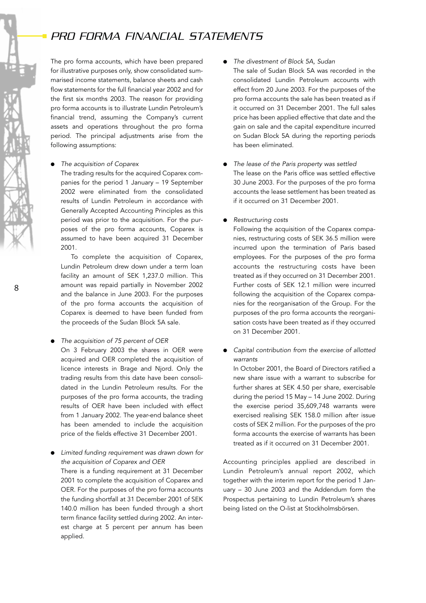# *PRO FORMA FINANCIAL STATEMENTS*

The pro forma accounts, which have been prepared for illustrative purposes only, show consolidated summarised income statements, balance sheets and cash flow statements for the full financial year 2002 and for the first six months 2003. The reason for providing pro forma accounts is to illustrate Lundin Petroleum's financial trend, assuming the Company's current assets and operations throughout the pro forma period. The principal adjustments arise from the following assumptions:

#### ● *The acquisition of Coparex*

The trading results for the acquired Coparex companies for the period 1 January – 19 September 2002 were eliminated from the consolidated results of Lundin Petroleum in accordance with Generally Accepted Accounting Principles as this period was prior to the acquisition. For the purposes of the pro forma accounts, Coparex is assumed to have been acquired 31 December 2001.

To complete the acquisition of Coparex, Lundin Petroleum drew down under a term loan facility an amount of SEK 1,237.0 million. This amount was repaid partially in November 2002 and the balance in June 2003. For the purposes of the pro forma accounts the acquisition of Coparex is deemed to have been funded from the proceeds of the Sudan Block 5A sale.

● *The acquisition of 75 percent of OER* 

On 3 February 2003 the shares in OER were acquired and OER completed the acquisition of licence interests in Brage and Njord. Only the trading results from this date have been consolidated in the Lundin Petroleum results. For the purposes of the pro forma accounts, the trading results of OER have been included with effect from 1 January 2002. The year-end balance sheet has been amended to include the acquisition price of the fields effective 31 December 2001.

● *Limited funding requirement was drawn down for the acquisition of Coparex and OER*  There is a funding requirement at 31 December 2001 to complete the acquisition of Coparex and OER. For the purposes of the pro forma accounts the funding shortfall at 31 December 2001 of SEK 140.0 million has been funded through a short term finance facility settled during 2002. An interest charge at 5 percent per annum has been applied.

- *The divestment of Block 5A, Sudan*
- The sale of Sudan Block 5A was recorded in the consolidated Lundin Petroleum accounts with effect from 20 June 2003. For the purposes of the pro forma accounts the sale has been treated as if it occurred on 31 December 2001. The full sales price has been applied effective that date and the gain on sale and the capital expenditure incurred on Sudan Block 5A during the reporting periods has been eliminated.
- *The lease of the Paris property was settled* The lease on the Paris office was settled effective 30 June 2003. For the purposes of the pro forma accounts the lease settlement has been treated as if it occurred on 31 December 2001.
- *Restructuring costs*

Following the acquisition of the Coparex companies, restructuring costs of SEK 36.5 million were incurred upon the termination of Paris based employees. For the purposes of the pro forma accounts the restructuring costs have been treated as if they occurred on 31 December 2001. Further costs of SEK 12.1 million were incurred following the acquisition of the Coparex companies for the reorganisation of the Group. For the purposes of the pro forma accounts the reorganisation costs have been treated as if they occurred on 31 December 2001.

● *Capital contribution from the exercise of allotted warrants*

In October 2001, the Board of Directors ratified a new share issue with a warrant to subscribe for further shares at SEK 4.50 per share, exercisable during the period 15 May – 14 June 2002. During the exercise period 35,609,748 warrants were exercised realising SEK 158.0 million after issue costs of SEK 2 million. For the purposes of the pro forma accounts the exercise of warrants has been treated as if it occurred on 31 December 2001.

Accounting principles applied are described in Lundin Petroleum's annual report 2002, which together with the interim report for the period 1 January – 30 June 2003 and the Addendum form the Prospectus pertaining to Lundin Petroleum's shares being listed on the O-list at Stockholmsbörsen.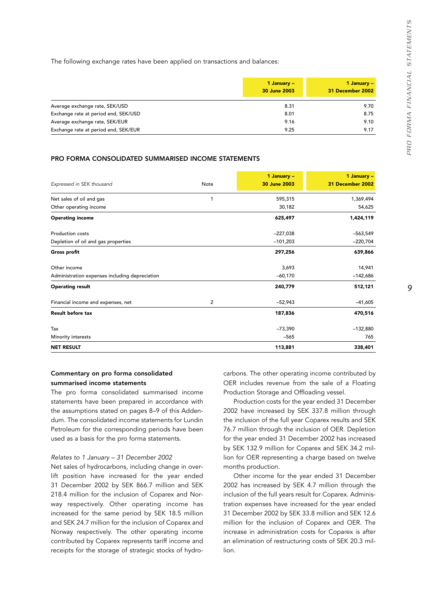The following exchange rates have been applied on transactions and balances:

|                                      | 1 January –<br>30 June 2003 | 1 January $-$<br>31 December 2002 |
|--------------------------------------|-----------------------------|-----------------------------------|
| Average exchange rate, SEK/USD       | 8.31                        | 9.70                              |
| Exchange rate at period end, SEK/USD | 8.01                        | 8.75                              |
| Average exchange rate, SEK/EUR       | 9.16                        | 9.10                              |
| Exchange rate at period end, SEK/EUR | 9.25                        | 9.17                              |

#### PRO FORMA CONSOLIDATED SUMMARISED INCOME STATEMENTS

| Expressed in SEK thousand                      | Note           | 1 January -<br>30 June 2003 | 1 January $-$<br>31 December 2002 |
|------------------------------------------------|----------------|-----------------------------|-----------------------------------|
| Net sales of oil and gas                       | 1              | 595,315                     | 1,369,494                         |
| Other operating income                         |                | 30,182                      | 54,625                            |
| <b>Operating income</b>                        |                | 625,497                     | 1,424,119                         |
| <b>Production costs</b>                        |                | $-227,038$                  | $-563,549$                        |
| Depletion of oil and gas properties            |                | $-101,203$                  | $-220,704$                        |
| <b>Gross profit</b>                            |                | 297,256                     | 639,866                           |
| Other income                                   |                | 3,693                       | 14,941                            |
| Administration expenses including depreciation |                | $-60,170$                   | $-142,686$                        |
| <b>Operating result</b>                        |                | 240,779                     | 512,121                           |
| Financial income and expenses, net             | $\overline{c}$ | $-52,943$                   | $-41,605$                         |
| <b>Result before tax</b>                       |                | 187,836                     | 470,516                           |
| Tax                                            |                | $-73,390$                   | $-132,880$                        |
| Minority interests                             |                | $-565$                      | 765                               |
| <b>NET RESULT</b>                              |                | 113,881                     | 338,401                           |

## Commentary on pro forma consolidated summarised income statements

The pro forma consolidated summarised income statements have been prepared in accordance with the assumptions stated on pages 8–9 of this Addendum. The consolidated income statements for Lundin Petroleum for the corresponding periods have been used as a basis for the pro forma statements.

#### *Relates to 1 January – 31 December 2002*

Net sales of hydrocarbons, including change in overlift position have increased for the year ended 31 December 2002 by SEK 866.7 million and SEK 218.4 million for the inclusion of Coparex and Norway respectively. Other operating income has increased for the same period by SEK 18.5 million and SEK 24.7 million for the inclusion of Coparex and Norway respectively. The other operating income contributed by Coparex represents tariff income and receipts for the storage of strategic stocks of hydrocarbons. The other operating income contributed by OER includes revenue from the sale of a Floating Production Storage and Offloading vessel.

Production costs for the year ended 31 December 2002 have increased by SEK 337.8 million through the inclusion of the full year Coparex results and SEK 76.7 million through the inclusion of OER. Depletion for the year ended 31 December 2002 has increased by SEK 132.9 million for Coparex and SEK 34.2 million for OER representing a charge based on twelve months production.

Other income for the year ended 31 December 2002 has increased by SEK 4.7 million through the inclusion of the full years result for Coparex. Administration expenses have increased for the year ended 31 December 2002 by SEK 33.8 million and SEK 12.6 million for the inclusion of Coparex and OER. The increase in administration costs for Coparex is after an elimination of restructuring costs of SEK 20.3 million.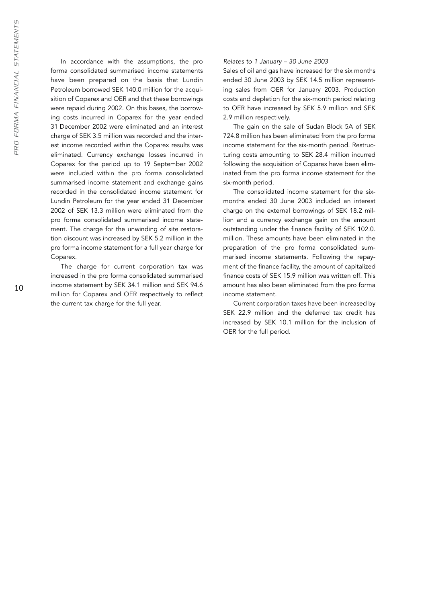In accordance with the assumptions, the pro forma consolidated summarised income statements have been prepared on the basis that Lundin Petroleum borrowed SEK 140.0 million for the acquisition of Coparex and OER and that these borrowings were repaid during 2002. On this bases, the borrowing costs incurred in Coparex for the year ended 31 December 2002 were eliminated and an interest charge of SEK 3.5 million was recorded and the interest income recorded within the Coparex results was eliminated. Currency exchange losses incurred in Coparex for the period up to 19 September 2002 were included within the pro forma consolidated summarised income statement and exchange gains recorded in the consolidated income statement for Lundin Petroleum for the year ended 31 December 2002 of SEK 13.3 million were eliminated from the pro forma consolidated summarised income statement. The charge for the unwinding of site restoration discount was increased by SEK 5.2 million in the pro forma income statement for a full year charge for Coparex.

The charge for current corporation tax was increased in the pro forma consolidated summarised income statement by SEK 34.1 million and SEK 94.6 million for Coparex and OER respectively to reflect the current tax charge for the full year.

#### *Relates to 1 January – 30 June 2003*

Sales of oil and gas have increased for the six months ended 30 June 2003 by SEK 14.5 million representing sales from OER for January 2003. Production costs and depletion for the six-month period relating to OER have increased by SEK 5.9 million and SEK 2.9 million respectively.

The gain on the sale of Sudan Block 5A of SEK 724.8 million has been eliminated from the pro forma income statement for the six-month period. Restructuring costs amounting to SEK 28.4 million incurred following the acquisition of Coparex have been eliminated from the pro forma income statement for the six-month period.

The consolidated income statement for the sixmonths ended 30 June 2003 included an interest charge on the external borrowings of SEK 18.2 million and a currency exchange gain on the amount outstanding under the finance facility of SEK 102.0. million. These amounts have been eliminated in the preparation of the pro forma consolidated summarised income statements. Following the repayment of the finance facility, the amount of capitalized finance costs of SEK 15.9 million was written off. This amount has also been eliminated from the pro forma income statement.

Current corporation taxes have been increased by SEK 22.9 million and the deferred tax credit has increased by SEK 10.1 million for the inclusion of OER for the full period.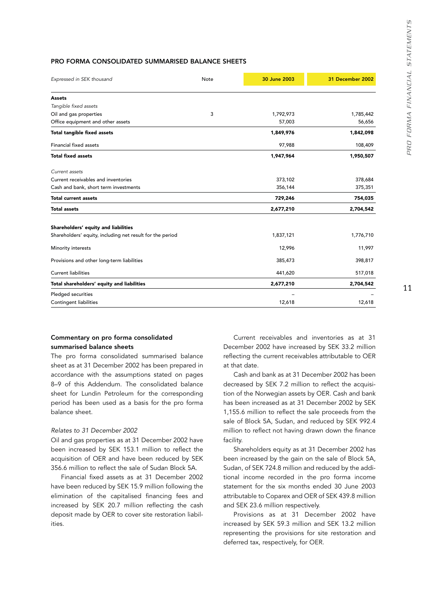## PRO FORMA CONSOLIDATED SUMMARISED BALANCE SHEETS

| Expressed in SEK thousand                                 | Note | 30 June 2003 | 31 December 2002 |
|-----------------------------------------------------------|------|--------------|------------------|
| <b>Assets</b>                                             |      |              |                  |
| Tangible fixed assets                                     |      |              |                  |
| Oil and gas properties                                    | 3    | 1,792,973    | 1,785,442        |
| Office equipment and other assets                         |      | 57,003       | 56,656           |
| <b>Total tangible fixed assets</b>                        |      | 1,849,976    | 1,842,098        |
| Financial fixed assets                                    |      | 97,988       | 108,409          |
| <b>Total fixed assets</b>                                 |      | 1,947,964    | 1,950,507        |
| Current assets                                            |      |              |                  |
| Current receivables and inventories                       |      | 373,102      | 378,684          |
| Cash and bank, short term investments                     |      | 356,144      | 375,351          |
| <b>Total current assets</b>                               |      | 729,246      | 754,035          |
| <b>Total assets</b>                                       |      | 2,677,210    | 2,704,542        |
| Shareholders' equity and liabilities                      |      |              |                  |
| Shareholders' equity, including net result for the period |      | 1,837,121    | 1,776,710        |
| Minority interests                                        |      | 12,996       | 11,997           |
| Provisions and other long-term liabilities                |      | 385,473      | 398,817          |
| <b>Current liabilities</b>                                |      | 441,620      | 517,018          |
| Total shareholders' equity and liabilities                |      | 2,677,210    | 2,704,542        |
| Pledged securities                                        |      |              |                  |
| <b>Contingent liabilities</b>                             |      | 12,618       | 12,618           |

## Commentary on pro forma consolidated summarised balance sheets

The pro forma consolidated summarised balance sheet as at 31 December 2002 has been prepared in accordance with the assumptions stated on pages 8–9 of this Addendum. The consolidated balance sheet for Lundin Petroleum for the corresponding period has been used as a basis for the pro forma balance sheet.

#### *Relates to 31 December 2002*

Oil and gas properties as at 31 December 2002 have been increased by SEK 153.1 million to reflect the acquisition of OER and have been reduced by SEK 356.6 million to reflect the sale of Sudan Block 5A.

Financial fixed assets as at 31 December 2002 have been reduced by SEK 15.9 million following the elimination of the capitalised financing fees and increased by SEK 20.7 million reflecting the cash deposit made by OER to cover site restoration liabilities.

Current receivables and inventories as at 31 December 2002 have increased by SEK 33.2 million reflecting the current receivables attributable to OER at that date.

Cash and bank as at 31 December 2002 has been decreased by SEK 7.2 million to reflect the acquisition of the Norwegian assets by OER. Cash and bank has been increased as at 31 December 2002 by SEK 1,155.6 million to reflect the sale proceeds from the sale of Block 5A, Sudan, and reduced by SEK 992.4 million to reflect not having drawn down the finance facility.

Shareholders equity as at 31 December 2002 has been increased by the gain on the sale of Block 5A, Sudan, of SEK 724.8 million and reduced by the additional income recorded in the pro forma income statement for the six months ended 30 June 2003 attributable to Coparex and OER of SEK 439.8 million and SEK 23.6 million respectively.

Provisions as at 31 December 2002 have increased by SEK 59.3 million and SEK 13.2 million representing the provisions for site restoration and deferred tax, respectively, for OER.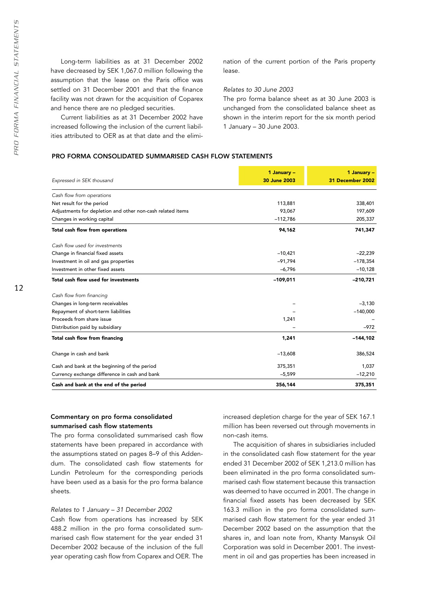Long-term liabilities as at 31 December 2002 have decreased by SEK 1,067.0 million following the assumption that the lease on the Paris office was settled on 31 December 2001 and that the finance facility was not drawn for the acquisition of Coparex and hence there are no pledged securities.

Current liabilities as at 31 December 2002 have increased following the inclusion of the current liabilities attributed to OER as at that date and the elimination of the current portion of the Paris property lease.

#### *Relates to 30 June 2003*

The pro forma balance sheet as at 30 June 2003 is unchanged from the consolidated balance sheet as shown in the interim report for the six month period 1 January – 30 June 2003.

# PRO FORMA CONSOLIDATED SUMMARISED CASH FLOW STATEMENTS

|                                                            | 1 January -  | 1 January -      |
|------------------------------------------------------------|--------------|------------------|
| Expressed in SEK thousand                                  | 30 June 2003 | 31 December 2002 |
| Cash flow from operations                                  |              |                  |
| Net result for the period                                  | 113,881      | 338,401          |
| Adjustments for depletion and other non-cash related items | 93,067       | 197,609          |
| Changes in working capital                                 | $-112,786$   | 205,337          |
| Total cash flow from operations                            | 94,162       | 741,347          |
| Cash flow used for investments                             |              |                  |
| Change in financial fixed assets                           | $-10,421$    | $-22,239$        |
| Investment in oil and gas properties                       | $-91,794$    | $-178,354$       |
| Investment in other fixed assets                           | $-6,796$     | $-10,128$        |
| Total cash flow used for investments                       | $-109,011$   | $-210,721$       |
| Cash flow from financing                                   |              |                  |
| Changes in long-term receivables                           |              | $-3,130$         |
| Repayment of short-term liabilities                        |              | $-140,000$       |
| Proceeds from share issue                                  | 1,241        |                  |
| Distribution paid by subsidiary                            |              | $-972$           |
| Total cash flow from financing                             | 1,241        | $-144, 102$      |
| Change in cash and bank                                    | $-13,608$    | 386,524          |
| Cash and bank at the beginning of the period               | 375,351      | 1,037            |
| Currency exchange difference in cash and bank              | $-5,599$     | $-12,210$        |
| Cash and bank at the end of the period                     | 356,144      | 375,351          |

## Commentary on pro forma consolidated summarised cash flow statements

The pro forma consolidated summarised cash flow statements have been prepared in accordance with the assumptions stated on pages 8–9 of this Addendum. The consolidated cash flow statements for Lundin Petroleum for the corresponding periods have been used as a basis for the pro forma balance sheets.

#### *Relates to 1 January – 31 December 2002*

Cash flow from operations has increased by SEK 488.2 million in the pro forma consolidated summarised cash flow statement for the year ended 31 December 2002 because of the inclusion of the full year operating cash flow from Coparex and OER. The increased depletion charge for the year of SEK 167.1 million has been reversed out through movements in non-cash items.

The acquisition of shares in subsidiaries included in the consolidated cash flow statement for the year ended 31 December 2002 of SEK 1,213.0 million has been eliminated in the pro forma consolidated summarised cash flow statement because this transaction was deemed to have occurred in 2001. The change in financial fixed assets has been decreased by SEK 163.3 million in the pro forma consolidated summarised cash flow statement for the year ended 31 December 2002 based on the assumption that the shares in, and loan note from, Khanty Mansysk Oil Corporation was sold in December 2001. The investment in oil and gas properties has been increased in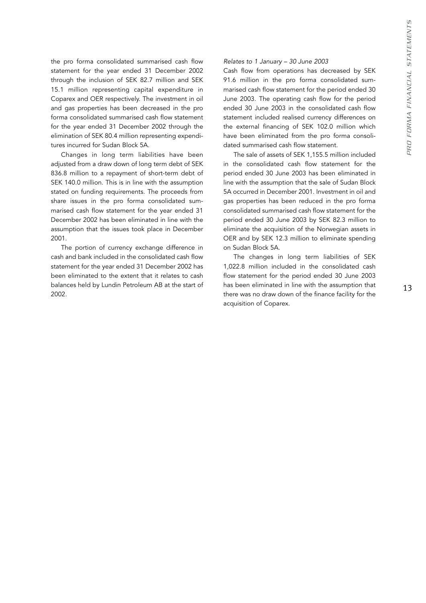the pro forma consolidated summarised cash flow statement for the year ended 31 December 2002 through the inclusion of SEK 82.7 million and SEK 15.1 million representing capital expenditure in Coparex and OER respectively. The investment in oil and gas properties has been decreased in the pro forma consolidated summarised cash flow statement for the year ended 31 December 2002 through the elimination of SEK 80.4 million representing expenditures incurred for Sudan Block 5A.

Changes in long term liabilities have been adjusted from a draw down of long term debt of SEK 836.8 million to a repayment of short-term debt of SEK 140.0 million. This is in line with the assumption stated on funding requirements. The proceeds from share issues in the pro forma consolidated summarised cash flow statement for the year ended 31 December 2002 has been eliminated in line with the assumption that the issues took place in December 2001.

The portion of currency exchange difference in cash and bank included in the consolidated cash flow statement for the year ended 31 December 2002 has been eliminated to the extent that it relates to cash balances held by Lundin Petroleum AB at the start of 2002.

#### *Relates to 1 January – 30 June 2003*

Cash flow from operations has decreased by SEK 91.6 million in the pro forma consolidated summarised cash flow statement for the period ended 30 June 2003. The operating cash flow for the period ended 30 June 2003 in the consolidated cash flow statement included realised currency differences on the external financing of SEK 102.0 million which have been eliminated from the pro forma consolidated summarised cash flow statement.

The sale of assets of SEK 1,155.5 million included in the consolidated cash flow statement for the period ended 30 June 2003 has been eliminated in line with the assumption that the sale of Sudan Block 5A occurred in December 2001. Investment in oil and gas properties has been reduced in the pro forma consolidated summarised cash flow statement for the period ended 30 June 2003 by SEK 82.3 million to eliminate the acquisition of the Norwegian assets in OER and by SEK 12.3 million to eliminate spending on Sudan Block 5A.

The changes in long term liabilities of SEK 1,022.8 million included in the consolidated cash flow statement for the period ended 30 June 2003 has been eliminated in line with the assumption that there was no draw down of the finance facility for the acquisition of Coparex.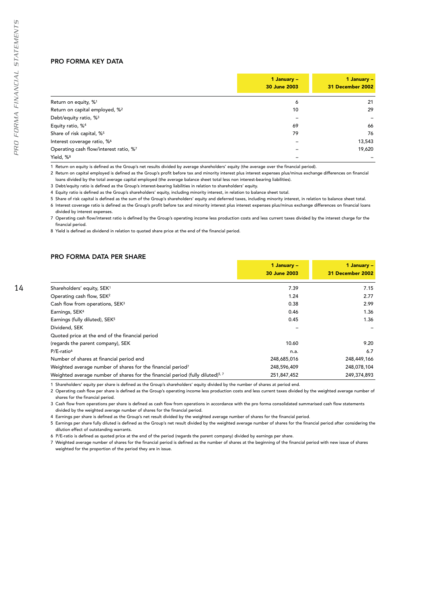### PRO FORMA KEY DATA

|                                            | 1 January $-$<br>30 June 2003 | 1 January -<br>31 December 2002 |
|--------------------------------------------|-------------------------------|---------------------------------|
| Return on equity, % <sup>1</sup>           | 6                             | 21                              |
| Return on capital employed, % <sup>2</sup> | 10                            | 29                              |
| Debt/equity ratio, % <sup>3</sup>          |                               |                                 |
| Equity ratio, % <sup>4</sup>               | 69                            | 66                              |
| Share of risk capital, % <sup>5</sup>      | 79                            | 76                              |
| Interest coverage ratio, %6                |                               | 13,543                          |
| Operating cash flow/interest ratio, %7     |                               | 19,620                          |
| Yield, % <sup>8</sup>                      |                               |                                 |

1 Return on equity is defined as the Group's net results divided by average shareholders' equity (the average over the financial period).

2 Return on capital employed is defined as the Group's profit before tax and minority interest plus interest expenses plus/minus exchange differences on financial loans divided by the total average capital employed (the average balance sheet total less non interest-bearing liabilities).

3 Debt/equity ratio is defined as the Group's interest-bearing liabilities in relation to shareholders' equity.

4 Equity ratio is defined as the Group's shareholders' equity, including minority interest, in relation to balance sheet total.

5 Share of risk capital is defined as the sum of the Group's shareholders' equity and deferred taxes, including minority interest, in relation to balance sheet total.

6 Interest coverage ratio is defined as the Group's profit before tax and minority interest plus interest expenses plus/minus exchange differences on financial loans divided by interest expenses.

7 Operating cash flow/interest ratio is defined by the Group's operating income less production costs and less current taxes divided by the interest charge for the financial period.

1 January – 1 January –

8 Yield is defined as dividend in relation to quoted share price at the end of the financial period.

#### PRO FORMA DATA PER SHARE

| ٧ |  |
|---|--|
|   |  |
|   |  |

|                                                                                            | 30 June 2003 | 31 December 2002 |
|--------------------------------------------------------------------------------------------|--------------|------------------|
| Shareholders' equity, SEK <sup>1</sup>                                                     | 7.39         | 7.15             |
| Operating cash flow, SEK <sup>2</sup>                                                      | 1.24         | 2.77             |
| Cash flow from operations, SEK <sup>3</sup>                                                | 0.38         | 2.99             |
| Earnings, SEK <sup>4</sup>                                                                 | 0.46         | 1.36             |
| Earnings (fully diluted), SEK <sup>5</sup>                                                 | 0.45         | 1.36             |
| Dividend, SEK                                                                              |              |                  |
| Quoted price at the end of the financial period                                            |              |                  |
| (regards the parent company), SEK                                                          | 10.60        | 9.20             |
| $P/E$ -ratio <sup>6</sup>                                                                  | n.a.         | 6.7              |
| Number of shares at financial period end                                                   | 248,685,016  | 248,449,166      |
| Weighted average number of shares for the financial period <sup>7</sup>                    | 248,596,409  | 248,078,104      |
| Weighted average number of shares for the financial period (fully diluted) <sup>5, 7</sup> | 251,847,452  | 249.374.893      |

1 Shareholders' equity per share is defined as the Group's shareholders' equity divided by the number of shares at period end.

2 Operating cash flow per share is defined as the Group's operating income less production costs and less current taxes divided by the weighted average number of shares for the financial period.

3 Cash flow from operations per share is defined as cash flow from operations in accordance with the pro forma consolidated summarised cash flow statements divided by the weighted average number of shares for the financial period.

4 Earnings per share is defined as the Group's net result divided by the weighted average number of shares for the financial period.

5 Earnings per share fully diluted is defined as the Group's net result divided by the weighted average number of shares for the financial period after considering the dilution effect of outstanding warrants.

6 P/E-ratio is defined as quoted price at the end of the period (regards the parent company) divided by earnings per share.

7 Weighted average number of shares for the financial period is defined as the number of shares at the beginning of the financial period with new issue of shares weighted for the proportion of the period they are in issue.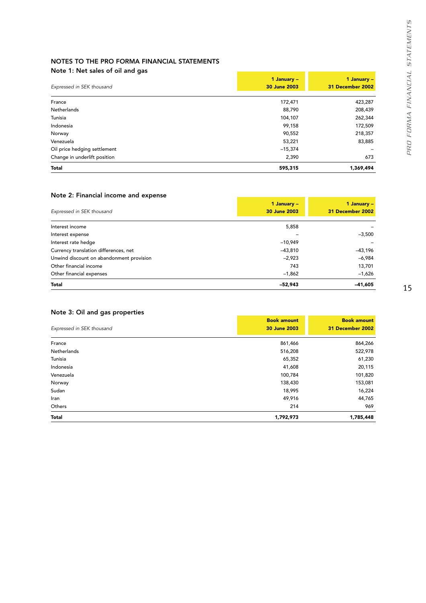# NOTES TO THE PRO FORMA FINANCIAL STATEMENTS

## Note 1: Net sales of oil and gas

|                              | 1 January -  | 1 January -      |
|------------------------------|--------------|------------------|
| Expressed in SEK thousand    | 30 June 2003 | 31 December 2002 |
| France                       | 172,471      | 423,287          |
| Netherlands                  | 88,790       | 208,439          |
| Tunisia                      | 104,107      | 262,344          |
| Indonesia                    | 99,158       | 172,509          |
| Norway                       | 90,552       | 218,357          |
| Venezuela                    | 53,221       | 83,885           |
| Oil price hedging settlement | $-15,374$    |                  |
| Change in underlift position | 2,390        | 673              |
| <b>Total</b>                 | 595,315      | 1,369,494        |

# Note 2: Financial income and expense

|                                          | 1 January $-$ | 1 January -      |
|------------------------------------------|---------------|------------------|
| Expressed in SEK thousand                | 30 June 2003  | 31 December 2002 |
| Interest income                          | 5,858         |                  |
| Interest expense                         |               | $-3,500$         |
| Interest rate hedge                      | $-10.949$     |                  |
| Currency translation differences, net    | $-43,810$     | $-43,196$        |
| Unwind discount on abandonment provision | $-2,923$      | $-6,984$         |
| Other financial income                   | 743           | 13,701           |
| Other financial expenses                 | $-1,862$      | $-1,626$         |
| <b>Total</b>                             | $-52.943$     | $-41.605$        |

# Note 3: Oil and gas properties

| Expressed in SEK thousand | <b>Book amount</b><br>30 June 2003 | <b>Book amount</b><br>31 December 2002 |
|---------------------------|------------------------------------|----------------------------------------|
| France                    | 861,466                            | 864,266                                |
| Netherlands               | 516,208                            | 522,978                                |
| Tunisia                   | 65,352                             | 61,230                                 |
| Indonesia                 | 41,608                             | 20,115                                 |
| Venezuela                 | 100,784                            | 101,820                                |
| Norway                    | 138,430                            | 153,081                                |
| Sudan                     | 18,995                             | 16,224                                 |
| Iran                      | 49,916                             | 44,765                                 |
| Others                    | 214                                | 969                                    |
| Total                     | 1,792,973                          | 1,785,448                              |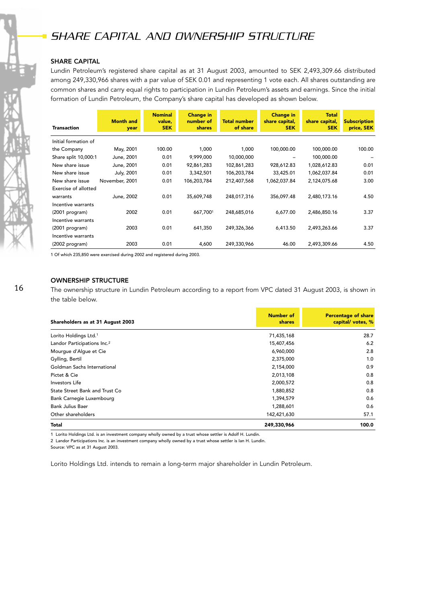# *SHARE CAPITAL AND OWNERSHIP STRUCTURE*

## SHARE CAPITAL

Lundin Petroleum's registered share capital as at 31 August 2003, amounted to SEK 2,493,309.66 distributed among 249,330,966 shares with a par value of SEK 0.01 and representing 1 vote each. All shares outstanding are common shares and carry equal rights to participation in Lundin Petroleum's assets and earnings. Since the initial formation of Lundin Petroleum, the Company's share capital has developed as shown below.

|                      | <b>Month and</b> | <b>Nominal</b><br>value, | <b>Change in</b><br>number of | <b>Total number</b> | <b>Change in</b><br>share capital, | <b>Total</b><br>share capital, | <b>Subscription</b> |
|----------------------|------------------|--------------------------|-------------------------------|---------------------|------------------------------------|--------------------------------|---------------------|
| <b>Transaction</b>   | year             | <b>SEK</b>               | <b>shares</b>                 | of share            | <b>SEK</b>                         | <b>SEK</b>                     | price, SEK          |
| Initial formation of |                  |                          |                               |                     |                                    |                                |                     |
| the Company          | May, 2001        | 100.00                   | 1,000                         | 1,000               | 100,000.00                         | 100,000.00                     | 100.00              |
| Share split 10,000:1 | June, 2001       | 0.01                     | 9,999,000                     | 10,000,000          |                                    | 100,000.00                     |                     |
| New share issue      | June, 2001       | 0.01                     | 92,861,283                    | 102,861,283         | 928,612.83                         | 1,028,612.83                   | 0.01                |
| New share issue      | July, 2001       | 0.01                     | 3,342,501                     | 106,203,784         | 33,425.01                          | 1,062,037.84                   | 0.01                |
| New share issue      | November, 2001   | 0.01                     | 106,203,784                   | 212,407,568         | 1,062,037.84                       | 2,124,075.68                   | 3.00                |
| Exercise of allotted |                  |                          |                               |                     |                                    |                                |                     |
| warrants             | June, 2002       | 0.01                     | 35,609,748                    | 248,017,316         | 356.097.48                         | 2,480,173.16                   | 4.50                |
| Incentive warrants   |                  |                          |                               |                     |                                    |                                |                     |
| (2001 program)       | 2002             | 0.01                     | 667,7001                      | 248,685,016         | 6,677.00                           | 2,486,850.16                   | 3.37                |
| Incentive warrants   |                  |                          |                               |                     |                                    |                                |                     |
| (2001 program)       | 2003             | 0.01                     | 641,350                       | 249,326,366         | 6,413.50                           | 2,493,263.66                   | 3.37                |
| Incentive warrants   |                  |                          |                               |                     |                                    |                                |                     |
| (2002 program)       | 2003             | 0.01                     | 4,600                         | 249,330,966         | 46.00                              | 2,493,309.66                   | 4.50                |

1 Of which 235,850 were exercised during 2002 and registered during 2003.

## OWNERSHIP STRUCTURE

The ownership structure in Lundin Petroleum according to a report from VPC dated 31 August 2003, is shown in the table below.

| Shareholders as at 31 August 2003       | Number of<br><b>shares</b> | <b>Percentage of share</b><br>capital/votes, % |
|-----------------------------------------|----------------------------|------------------------------------------------|
| Lorito Holdings Ltd. <sup>1</sup>       | 71,435,168                 | 28.7                                           |
| Landor Participations Inc. <sup>2</sup> | 15,407,456                 | 6.2                                            |
| Mourgue d'Algue et Cie                  | 6,960,000                  | 2.8                                            |
| Gylling, Bertil                         | 2,375,000                  | 1.0                                            |
| Goldman Sachs International             | 2,154,000                  | 0.9                                            |
| Pictet & Cie                            | 2,013,108                  | 0.8                                            |
| Investors Life                          | 2,000,572                  | 0.8                                            |
| State Street Bank and Trust Co          | 1,880,852                  | 0.8                                            |
| Bank Carnegie Luxembourg                | 1,394,579                  | 0.6                                            |
| <b>Bank Julius Baer</b>                 | 1,288,601                  | 0.6                                            |
| Other shareholders                      | 142,421,630                | 57.1                                           |
| Total                                   | 249,330,966                | 100.0                                          |

1 Lorito Holdings Ltd. is an investment company wholly owned by a trust whose settler is Adolf H. Lundin.

2 Landor Participations Inc. is an investment company wholly owned by a trust whose settler is Ian H. Lundin.

Source: VPC as at 31 August 2003.

Lorito Holdings Ltd. intends to remain a long-term major shareholder in Lundin Petroleum.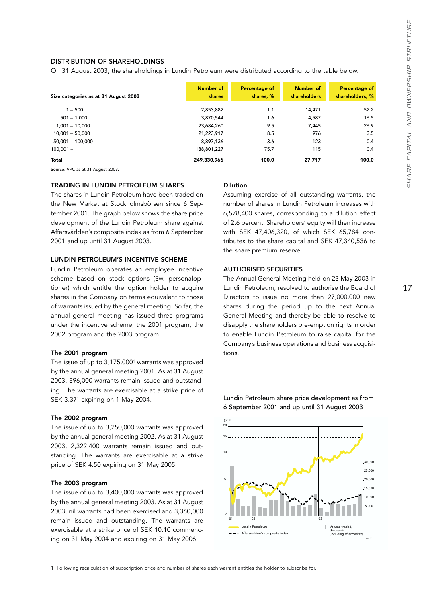## DISTRIBUTION OF SHAREHOLDINGS

On 31 August 2003, the shareholdings in Lundin Petroleum were distributed according to the table below.

| Size categories as at 31 August 2003 | Number of<br><b>shares</b> | <b>Percentage of</b><br>shares, % | <b>Number of</b><br>shareholders | <b>Percentage of</b><br>shareholders, % |
|--------------------------------------|----------------------------|-----------------------------------|----------------------------------|-----------------------------------------|
| $1 - 500$                            | 2,853,882                  | 1.1                               | 14,471                           | 52.2                                    |
| $501 - 1,000$                        | 3,870,544                  | 1.6                               | 4,587                            | 16.5                                    |
| $1,001 - 10,000$                     | 23,684,260                 | 9.5                               | 7,445                            | 26.9                                    |
| $10,001 - 50,000$                    | 21,223,917                 | 8.5                               | 976                              | 3.5                                     |
| $50,001 - 100,000$                   | 8,897,136                  | 3.6                               | 123                              | 0.4                                     |
| $100,001 -$                          | 188,801,227                | 75.7                              | 115                              | 0.4                                     |
| <b>Total</b>                         | 249,330,966                | 100.0                             | 27,717                           | 100.0                                   |

Source: VPC as at 31 August 2003.

### TRADING IN LUNDIN PETROLEUM SHARES

The shares in Lundin Petroleum have been traded on the New Market at Stockholmsbörsen since 6 September 2001. The graph below shows the share price development of the Lundin Petroleum share against Affärsvärlden's composite index as from 6 September 2001 and up until 31 August 2003.

### LUNDIN PETROLEUM'S INCENTIVE SCHEME

Lundin Petroleum operates an employee incentive scheme based on stock options (Sw. personaloptioner) which entitle the option holder to acquire shares in the Company on terms equivalent to those of warrants issued by the general meeting. So far, the annual general meeting has issued three programs under the incentive scheme, the 2001 program, the 2002 program and the 2003 program.

#### The 2001 program

The issue of up to 3,175,000<sup>1</sup> warrants was approved by the annual general meeting 2001. As at 31 August 2003, 896,000 warrants remain issued and outstanding. The warrants are exercisable at a strike price of SEK 3.371 expiring on 1 May 2004.

#### The 2002 program

The issue of up to 3,250,000 warrants was approved by the annual general meeting 2002. As at 31 August 2003, 2,322,400 warrants remain issued and outstanding. The warrants are exercisable at a strike price of SEK 4.50 expiring on 31 May 2005.

### The 2003 program

The issue of up to 3,400,000 warrants was approved by the annual general meeting 2003. As at 31 August 2003, nil warrants had been exercised and 3,360,000 remain issued and outstanding. The warrants are exercisable at a strike price of SEK 10.10 commencing on 31 May 2004 and expiring on 31 May 2006.

# Dilution

Assuming exercise of all outstanding warrants, the number of shares in Lundin Petroleum increases with 6,578,400 shares, corresponding to a dilution effect of 2.6 percent. Shareholders' equity will then increase with SEK 47,406,320, of which SEK 65,784 contributes to the share capital and SEK 47,340,536 to the share premium reserve.

#### AUTHORISED SECURITIES

The Annual General Meeting held on 23 May 2003 in Lundin Petroleum, resolved to authorise the Board of Directors to issue no more than 27,000,000 new shares during the period up to the next Annual General Meeting and thereby be able to resolve to disapply the shareholders pre-emption rights in order to enable Lundin Petroleum to raise capital for the Company's business operations and business acquisitions.



Lundin Petroleum share price development as from 6 September 2001 and up until 31 August 2003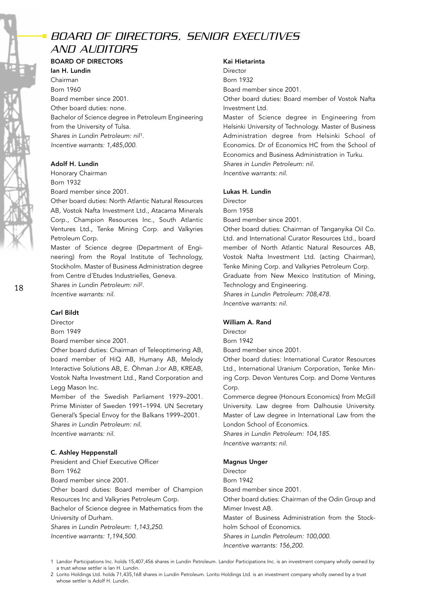# *BOARD OF DIRECTORS, SENIOR EXECUTIVES AND AUDITORS*

# BOARD OF DIRECTORS

Ian H. Lundin Chairman Born 1960 Board member since 2001. Other board duties: none. Bachelor of Science degree in Petroleum Engineering from the University of Tulsa. *Shares in Lundin Petroleum: nil1. Incentive warrants: 1,485,000.*

## Adolf H. Lundin

Honorary Chairman Born 1932 Board member since 2001.

Other board duties: North Atlantic Natural Resources AB, Vostok Nafta Investment Ltd., Atacama Minerals Corp., Champion Resources Inc., South Atlantic Ventures Ltd., Tenke Mining Corp. and Valkyries Petroleum Corp.

Master of Science degree (Department of Engineering) from the Royal Institute of Technology, Stockholm. Master of Business Administration degree from Centre d´Etudes Industrielles, Geneva.

*Shares in Lundin Petroleum: nil2. Incentive warrants: nil.*

## Carl Bildt

Director

Born 1949

Board member since 2001.

Other board duties: Chairman of Teleoptimering AB, board member of HiQ AB, Humany AB, Melody Interactive Solutions AB, E. Öhman J:or AB, KREAB, Vostok Nafta Investment Ltd., Rand Corporation and Legg Mason Inc.

Member of the Swedish Parliament 1979–2001. Prime Minister of Sweden 1991–1994. UN Secretary General's Special Envoy for the Balkans 1999–2001. *Shares in Lundin Petroleum: nil. Incentive warrants: nil.*

## C. Ashley Heppenstall

President and Chief Executive Officer Born 1962

Board member since 2001.

Other board duties: Board member of Champion Resources Inc and Valkyries Petroleum Corp. Bachelor of Science degree in Mathematics from the University of Durham.

*Shares in Lundin Petroleum: 1,143,250. Incentive warrants: 1,194,500.*

#### Kai Hietarinta

Director Born 1932

Board member since 2001.

Other board duties: Board member of Vostok Nafta Investment Ltd.

Master of Science degree in Engineering from Helsinki University of Technology. Master of Business Administration degree from Helsinki School of Economics. Dr of Economics HC from the School of Economics and Business Administration in Turku. *Shares in Lundin Petroleum: nil.*

*Incentive warrants: nil.*

## Lukas H. Lundin

Director Born 1958

Board member since 2001.

Other board duties: Chairman of Tanganyika Oil Co. Ltd. and International Curator Resources Ltd., board member of North Atlantic Natural Resources AB, Vostok Nafta Investment Ltd. (acting Chairman), Tenke Mining Corp. and Valkyries Petroleum Corp. Graduate from New Mexico Institution of Mining, Technology and Engineering. *Shares in Lundin Petroleum: 708,478. Incentive warrants: nil.*

## William A. Rand

Director Born 1942 Board member since 2001.

Other board duties: International Curator Resources Ltd., International Uranium Corporation, Tenke Mining Corp. Devon Ventures Corp. and Dome Ventures Corp.

Commerce degree (Honours Economics) from McGill University. Law degree from Dalhousie University. Master of Law degree in International Law from the London School of Economics.

*Shares in Lundin Petroleum: 104,185. Incentive warrants: nil.*

## Magnus Unger

Director Born 1942 Board member since 2001. Other board duties: Chairman of the Odin Group and Mimer Invest AB. Master of Business Administration from the Stockholm School of Economics. *Shares in Lundin Petroleum: 100,000. Incentive warrants: 156,200.*

1 Landor Participations Inc. holds 15,407,456 shares in Lundin Petroleum. Landor Participations Inc. is an investment company wholly owned by a trust whose settler is Ian H. Lundin.

2 Lorito Holdings Ltd. holds 71,435,168 shares in Lundin Petroleum. Lorito Holdings Ltd. is an investment company wholly owned by a trust whose settler is Adolf H. Lundin.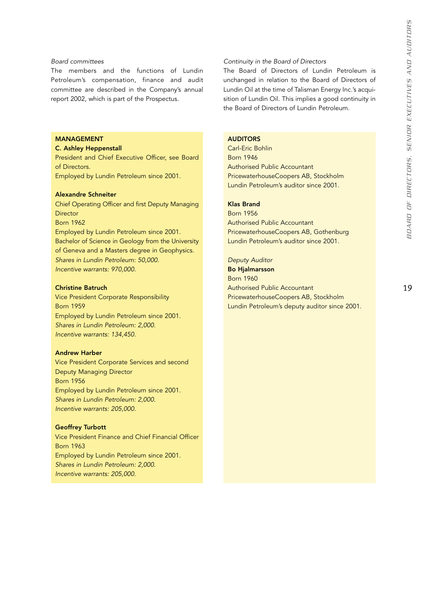#### *Board committees*

The members and the functions of Lundin Petroleum's compensation, finance and audit committee are described in the Company's annual report 2002, which is part of the Prospectus.

## MANAGEMENT

#### C. Ashley Heppenstall

President and Chief Executive Officer, see Board of Directors. Employed by Lundin Petroleum since 2001.

#### Alexandre Schneiter

Chief Operating Officer and first Deputy Managing **Director** Born 1962 Employed by Lundin Petroleum since 2001. Bachelor of Science in Geology from the University of Geneva and a Masters degree in Geophysics. *Shares in Lundin Petroleum: 50,000. Incentive warrants: 970,000.*

#### Christine Batruch

Vice President Corporate Responsibility Born 1959 Employed by Lundin Petroleum since 2001. *Shares in Lundin Petroleum: 2,000. Incentive warrants: 134,450.*

#### Andrew Harber

Vice President Corporate Services and second Deputy Managing Director Born 1956 Employed by Lundin Petroleum since 2001. *Shares in Lundin Petroleum: 2,000. Incentive warrants: 205,000.*

#### Geoffrey Turbott

Vice President Finance and Chief Financial Officer Born 1963 Employed by Lundin Petroleum since 2001. *Shares in Lundin Petroleum: 2,000. Incentive warrants: 205,000.*

#### *Continuity in the Board of Directors*

The Board of Directors of Lundin Petroleum is unchanged in relation to the Board of Directors of Lundin Oil at the time of Talisman Energy Inc.'s acquisition of Lundin Oil. This implies a good continuity in the Board of Directors of Lundin Petroleum.

### AUDITORS

Carl-Eric Bohlin Born 1946 Authorised Public Accountant PricewaterhouseCoopers AB, Stockholm Lundin Petroleum's auditor since 2001.

## Klas Brand

Born 1956 Authorised Public Accountant PricewaterhouseCoopers AB, Gothenburg Lundin Petroleum's auditor since 2001.

*Deputy Auditor*

Bo Hjalmarsson Born 1960 Authorised Public Accountant PricewaterhouseCoopers AB, Stockholm Lundin Petroleum's deputy auditor since 2001.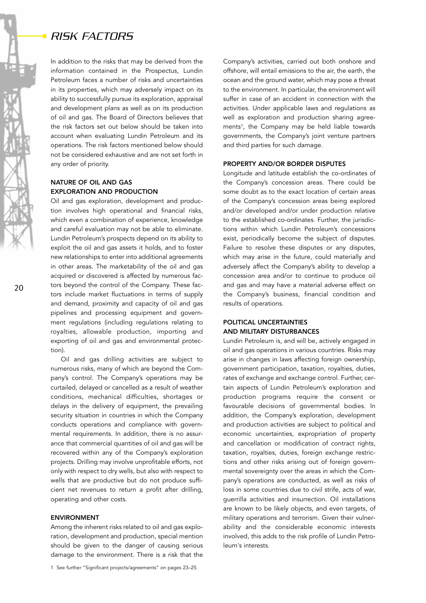# *RISK FACTORS*

In addition to the risks that may be derived from the information contained in the Prospectus, Lundin Petroleum faces a number of risks and uncertainties in its properties, which may adversely impact on its ability to successfully pursue its exploration, appraisal and development plans as well as on its production of oil and gas. The Board of Directors believes that the risk factors set out below should be taken into account when evaluating Lundin Petroleum and its operations. The risk factors mentioned below should not be considered exhaustive and are not set forth in any order of priority.

## NATURE OF OIL AND GAS EXPLORATION AND PRODUCTION

Oil and gas exploration, development and production involves high operational and financial risks, which even a combination of experience, knowledge and careful evaluation may not be able to eliminate. Lundin Petroleum's prospects depend on its ability to exploit the oil and gas assets it holds, and to foster new relationships to enter into additional agreements in other areas. The marketability of the oil and gas acquired or discovered is affected by numerous factors beyond the control of the Company. These factors include market fluctuations in terms of supply and demand, proximity and capacity of oil and gas pipelines and processing equipment and government regulations (including regulations relating to royalties, allowable production, importing and exporting of oil and gas and environmental protection).

Oil and gas drilling activities are subject to numerous risks, many of which are beyond the Company's control. The Company's operations may be curtailed, delayed or cancelled as a result of weather conditions, mechanical difficulties, shortages or delays in the delivery of equipment, the prevailing security situation in countries in which the Company conducts operations and compliance with governmental requirements. In addition, there is no assurance that commercial quantities of oil and gas will be recovered within any of the Company's exploration projects. Drilling may involve unprofitable efforts, not only with respect to dry wells, but also with respect to wells that are productive but do not produce sufficient net revenues to return a profit after drilling, operating and other costs.

### ENVIRONMENT

Among the inherent risks related to oil and gas exploration, development and production, special mention should be given to the danger of causing serious damage to the environment. There is a risk that the

Company's activities, carried out both onshore and offshore, will entail emissions to the air, the earth, the ocean and the ground water, which may pose a threat to the environment. In particular, the environment will suffer in case of an accident in connection with the activities. Under applicable laws and regulations as well as exploration and production sharing agreements<sup>1</sup>, the Company may be held liable towards governments, the Company's joint venture partners and third parties for such damage.

#### PROPERTY AND/OR BORDER DISPUTES

Longitude and latitude establish the co-ordinates of the Company's concession areas. There could be some doubt as to the exact location of certain areas of the Company's concession areas being explored and/or developed and/or under production relative to the established co-ordinates. Further, the jurisdictions within which Lundin Petroleum's concessions exist, periodically become the subject of disputes. Failure to resolve these disputes or any disputes, which may arise in the future, could materially and adversely affect the Company's ability to develop a concession area and/or to continue to produce oil and gas and may have a material adverse effect on the Company's business, financial condition and results of operations.

## POLITICAL UNCERTAINTIES AND MILITARY DISTURBANCES

Lundin Petroleum is, and will be, actively engaged in oil and gas operations in various countries. Risks may arise in changes in laws affecting foreign ownership, government participation, taxation, royalties, duties, rates of exchange and exchange control. Further, certain aspects of Lundin Petroleum's exploration and production programs require the consent or favourable decisions of governmental bodies. In addition, the Company's exploration, development and production activities are subject to political and economic uncertainties, expropriation of property and cancellation or modification of contract rights, taxation, royalties, duties, foreign exchange restrictions and other risks arising out of foreign governmental sovereignty over the areas in which the Company's operations are conducted, as well as risks of loss in some countries due to civil strife, acts of war, guerrilla activities and insurrection. Oil installations are known to be likely objects, and even targets, of military operations and terrorism. Given their vulnerability and the considerable economic interests involved, this adds to the risk profile of Lundin Petroleum's interests.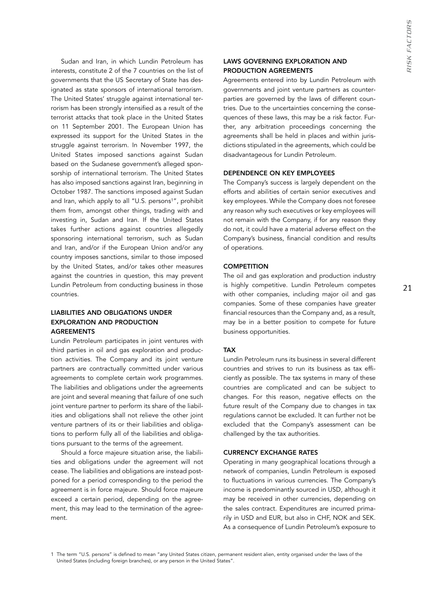Sudan and Iran, in which Lundin Petroleum has interests, constitute 2 of the 7 countries on the list of governments that the US Secretary of State has designated as state sponsors of international terrorism. The United States' struggle against international terrorism has been strongly intensified as a result of the terrorist attacks that took place in the United States on 11 September 2001. The European Union has expressed its support for the United States in the struggle against terrorism. In November 1997, the United States imposed sanctions against Sudan based on the Sudanese government's alleged sponsorship of international terrorism. The United States has also imposed sanctions against Iran, beginning in October 1987. The sanctions imposed against Sudan and Iran, which apply to all "U.S. persons<sup>1</sup>", prohibit them from, amongst other things, trading with and investing in, Sudan and Iran. If the United States takes further actions against countries allegedly sponsoring international terrorism, such as Sudan and Iran, and/or if the European Union and/or any country imposes sanctions, similar to those imposed by the United States, and/or takes other measures against the countries in question, this may prevent Lundin Petroleum from conducting business in those countries.

## LIABILITIES AND OBLIGATIONS UNDER EXPLORATION AND PRODUCTION AGREEMENTS

Lundin Petroleum participates in joint ventures with third parties in oil and gas exploration and production activities. The Company and its joint venture partners are contractually committed under various agreements to complete certain work programmes. The liabilities and obligations under the agreements are joint and several meaning that failure of one such joint venture partner to perform its share of the liabilities and obligations shall not relieve the other joint venture partners of its or their liabilities and obligations to perform fully all of the liabilities and obligations pursuant to the terms of the agreement.

Should a force majeure situation arise, the liabilities and obligations under the agreement will not cease. The liabilities and obligations are instead postponed for a period corresponding to the period the agreement is in force majeure. Should force majeure exceed a certain period, depending on the agreement, this may lead to the termination of the agreement.

## LAWS GOVERNING EXPLORATION AND PRODUCTION AGREEMENTS

Agreements entered into by Lundin Petroleum with governments and joint venture partners as counterparties are governed by the laws of different countries. Due to the uncertainties concerning the consequences of these laws, this may be a risk factor. Further, any arbitration proceedings concerning the agreements shall be held in places and within jurisdictions stipulated in the agreements, which could be disadvantageous for Lundin Petroleum.

### DEPENDENCE ON KEY EMPLOYEES

The Company's success is largely dependent on the efforts and abilities of certain senior executives and key employees. While the Company does not foresee any reason why such executives or key employees will not remain with the Company, if for any reason they do not, it could have a material adverse effect on the Company's business, financial condition and results of operations.

### **COMPETITION**

The oil and gas exploration and production industry is highly competitive. Lundin Petroleum competes with other companies, including major oil and gas companies. Some of these companies have greater financial resources than the Company and, as a result, may be in a better position to compete for future business opportunities.

### TAX

Lundin Petroleum runs its business in several different countries and strives to run its business as tax efficiently as possible. The tax systems in many of these countries are complicated and can be subject to changes. For this reason, negative effects on the future result of the Company due to changes in tax regulations cannot be excluded. It can further not be excluded that the Company's assessment can be challenged by the tax authorities.

## CURRENCY EXCHANGE RATES

Operating in many geographical locations through a network of companies, Lundin Petroleum is exposed to fluctuations in various currencies. The Company's income is predominantly sourced in USD, although it may be received in other currencies, depending on the sales contract. Expenditures are incurred primarily in USD and EUR, but also in CHF, NOK and SEK. As a consequence of Lundin Petroleum's exposure to

<sup>1</sup> The term "U.S. persons" is defined to mean "any United States citizen, permanent resident alien, entity organised under the laws of the United States (including foreign branches), or any person in the United States".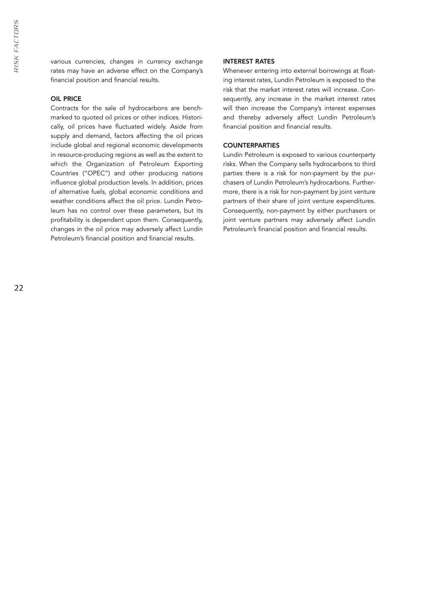various currencies, changes in currency exchange rates may have an adverse effect on the Company's financial position and financial results.

## OIL PRICE

Contracts for the sale of hydrocarbons are benchmarked to quoted oil prices or other indices. Historically, oil prices have fluctuated widely. Aside from supply and demand, factors affecting the oil prices include global and regional economic developments in resource-producing regions as well as the extent to which the Organization of Petroleum Exporting Countries ("OPEC") and other producing nations influence global production levels. In addition, prices of alternative fuels, global economic conditions and weather conditions affect the oil price. Lundin Petroleum has no control over these parameters, but its profitability is dependent upon them. Consequently, changes in the oil price may adversely affect Lundin Petroleum's financial position and financial results.

#### INTEREST RATES

Whenever entering into external borrowings at floating interest rates, Lundin Petroleum is exposed to the risk that the market interest rates will increase. Consequently, any increase in the market interest rates will then increase the Company's interest expenses and thereby adversely affect Lundin Petroleum's financial position and financial results.

## **COUNTERPARTIES**

Lundin Petroleum is exposed to various counterparty risks. When the Company sells hydrocarbons to third parties there is a risk for non-payment by the purchasers of Lundin Petroleum's hydrocarbons. Furthermore, there is a risk for non-payment by joint venture partners of their share of joint venture expenditures. Consequently, non-payment by either purchasers or joint venture partners may adversely affect Lundin Petroleum's financial position and financial results.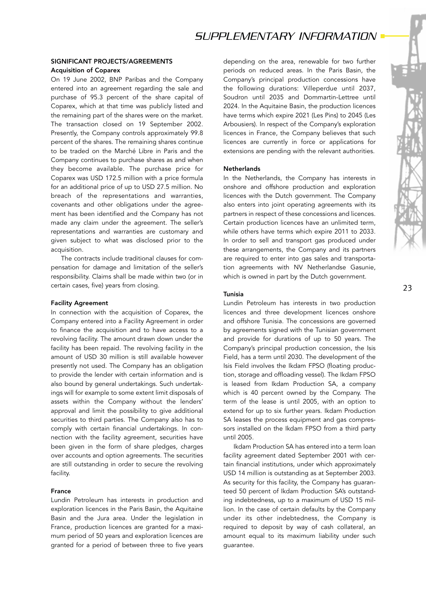## SIGNIFICANT PROJECTS/AGREEMENTS Acquisition of Coparex

On 19 June 2002, BNP Paribas and the Company entered into an agreement regarding the sale and purchase of 95.3 percent of the share capital of Coparex, which at that time was publicly listed and the remaining part of the shares were on the market. The transaction closed on 19 September 2002. Presently, the Company controls approximately 99.8 percent of the shares. The remaining shares continue to be traded on the Marché Libre in Paris and the Company continues to purchase shares as and when they become available. The purchase price for Coparex was USD 172.5 million with a price formula for an additional price of up to USD 27.5 million. No breach of the representations and warranties, covenants and other obligations under the agreement has been identified and the Company has not made any claim under the agreement. The seller's representations and warranties are customary and given subject to what was disclosed prior to the acquisition.

The contracts include traditional clauses for compensation for damage and limitation of the seller's responsibility. Claims shall be made within two (or in certain cases, five) years from closing.

#### Facility Agreement

In connection with the acquisition of Coparex, the Company entered into a Facility Agreement in order to finance the acquisition and to have access to a revolving facility. The amount drawn down under the facility has been repaid. The revolving facility in the amount of USD 30 million is still available however presently not used. The Company has an obligation to provide the lender with certain information and is also bound by general undertakings. Such undertakings will for example to some extent limit disposals of assets within the Company without the lenders' approval and limit the possibility to give additional securities to third parties. The Company also has to comply with certain financial undertakings. In connection with the facility agreement, securities have been given in the form of share pledges, charges over accounts and option agreements. The securities are still outstanding in order to secure the revolving facility.

## France

Lundin Petroleum has interests in production and exploration licences in the Paris Basin, the Aquitaine Basin and the Jura area. Under the legislation in France, production licences are granted for a maximum period of 50 years and exploration licences are granted for a period of between three to five years depending on the area, renewable for two further periods on reduced areas. In the Paris Basin, the Company's principal production concessions have the following durations: Villeperdue until 2037, Soudron until 2035 and Dommartin-Lettree until 2024. In the Aquitaine Basin, the production licences have terms which expire 2021 (Les Pins) to 2045 (Les Arbousiers). In respect of the Company's exploration licences in France, the Company believes that such licences are currently in force or applications for extensions are pending with the relevant authorities.

#### **Netherlands**

In the Netherlands, the Company has interests in onshore and offshore production and exploration licences with the Dutch government. The Company also enters into joint operating agreements with its partners in respect of these concessions and licences. Certain production licences have an unlimited term, while others have terms which expire 2011 to 2033. In order to sell and transport gas produced under these arrangements, the Company and its partners are required to enter into gas sales and transportation agreements with NV Netherlandse Gasunie, which is owned in part by the Dutch government.

## Tunisia

Lundin Petroleum has interests in two production licences and three development licences onshore and offshore Tunisia. The concessions are governed by agreements signed with the Tunisian government and provide for durations of up to 50 years. The Company's principal production concession, the Isis Field, has a term until 2030. The development of the Isis Field involves the Ikdam FPSO (floating production, storage and offloading vessel). The Ikdam FPSO is leased from Ikdam Production SA, a company which is 40 percent owned by the Company. The term of the lease is until 2005, with an option to extend for up to six further years. Ikdam Production SA leases the process equipment and gas compressors installed on the Ikdam FPSO from a third party until 2005.

Ikdam Production SA has entered into a term loan facility agreement dated September 2001 with certain financial institutions, under which approximately USD 14 million is outstanding as at September 2003. As security for this facility, the Company has guaranteed 50 percent of Ikdam Production SA's outstanding indebtedness, up to a maximum of USD 15 million. In the case of certain defaults by the Company under its other indebtedness, the Company is required to deposit by way of cash collateral, an amount equal to its maximum liability under such guarantee.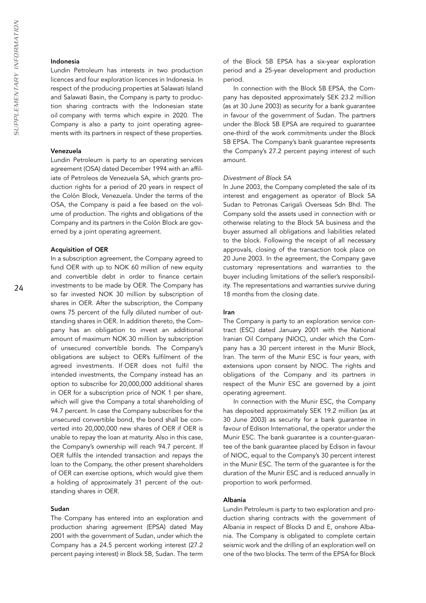#### Indonesia

Lundin Petroleum has interests in two production licences and four exploration licences in Indonesia. In respect of the producing properties at Salawati Island and Salawati Basin, the Company is party to production sharing contracts with the Indonesian state oil company with terms which expire in 2020. The Company is also a party to joint operating agreements with its partners in respect of these properties.

### Venezuela

Lundin Petroleum is party to an operating services agreement (OSA) dated December 1994 with an affiliate of Petroleos de Venezuela SA, which grants production rights for a period of 20 years in respect of the Colón Block, Venezuela. Under the terms of the OSA, the Company is paid a fee based on the volume of production. The rights and obligations of the Company and its partners in the Colón Block are governed by a joint operating agreement.

#### Acquisition of OER

In a subscription agreement, the Company agreed to fund OER with up to NOK 60 million of new equity and convertible debt in order to finance certain investments to be made by OER. The Company has so far invested NOK 30 million by subscription of shares in OER. After the subscription, the Company owns 75 percent of the fully diluted number of outstanding shares in OER. In addition thereto, the Company has an obligation to invest an additional amount of maximum NOK 30 million by subscription of unsecured convertible bonds. The Company's obligations are subject to OER's fulfilment of the agreed investments. If OER does not fulfil the intended investments, the Company instead has an option to subscribe for 20,000,000 additional shares in OER for a subscription price of NOK 1 per share, which will give the Company a total shareholding of 94.7 percent. In case the Company subscribes for the unsecured convertible bond, the bond shall be converted into 20,000,000 new shares of OER if OER is unable to repay the loan at maturity. Also in this case, the Company's ownership will reach 94.7 percent. If OER fulfils the intended transaction and repays the loan to the Company, the other present shareholders of OER can exercise options, which would give them a holding of approximately 31 percent of the outstanding shares in OER.

#### Sudan

The Company has entered into an exploration and production sharing agreement (EPSA) dated May 2001 with the government of Sudan, under which the Company has a 24.5 percent working interest (27.2 percent paying interest) in Block 5B, Sudan. The term of the Block 5B EPSA has a six-year exploration period and a 25-year development and production period.

In connection with the Block 5B EPSA, the Company has deposited approximately SEK 23.2 million (as at 30 June 2003) as security for a bank guarantee in favour of the government of Sudan. The partners under the Block 5B EPSA are required to guarantee one-third of the work commitments under the Block 5B EPSA. The Company's bank guarantee represents the Company's 27.2 percent paying interest of such amount.

#### *Divestment of Block 5A*

In June 2003, the Company completed the sale of its interest and engagement as operator of Block 5A Sudan to Petronas Carigali Overseas Sdn Bhd. The Company sold the assets used in connection with or otherwise relating to the Block 5A business and the buyer assumed all obligations and liabilities related to the block. Following the receipt of all necessary approvals, closing of the transaction took place on 20 June 2003. In the agreement, the Company gave customary representations and warranties to the buyer including limitations of the seller's responsibility. The representations and warranties survive during 18 months from the closing date.

#### Iran

The Company is party to an exploration service contract (ESC) dated January 2001 with the National Iranian Oil Company (NIOC), under which the Company has a 30 percent interest in the Munir Block, Iran. The term of the Munir ESC is four years, with extensions upon consent by NIOC. The rights and obligations of the Company and its partners in respect of the Munir ESC are governed by a joint operating agreement.

In connection with the Munir ESC, the Company has deposited approximately SEK 19.2 million (as at 30 June 2003) as security for a bank guarantee in favour of Edison International, the operator under the Munir ESC. The bank guarantee is a counter-guarantee of the bank guarantee placed by Edison in favour of NIOC, equal to the Company's 30 percent interest in the Munir ESC. The term of the guarantee is for the duration of the Munir ESC and is reduced annually in proportion to work performed.

#### Albania

Lundin Petroleum is party to two exploration and production sharing contracts with the government of Albania in respect of Blocks D and E, onshore Albania. The Company is obligated to complete certain seismic work and the drilling of an exploration well on one of the two blocks. The term of the EPSA for Block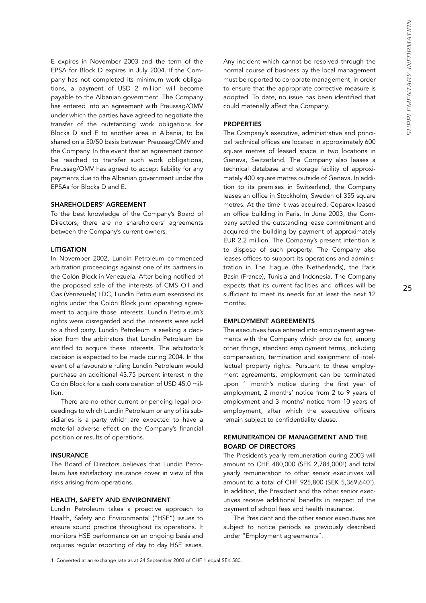E expires in November 2003 and the term of the EPSA for Block D expires in July 2004. If the Company has not completed its minimum work obligations, a payment of USD 2 million will become payable to the Albanian government. The Company has entered into an agreement with Preussag/OMV under which the parties have agreed to negotiate the transfer of the outstanding work obligations for Blocks D and E to another area in Albania, to be shared on a 50/50 basis between Preussag/OMV and the Company. In the event that an agreement cannot be reached to transfer such work obligations, Preussag/OMV has agreed to accept liability for any payments due to the Albanian government under the EPSAs for Blocks D and E.

#### SHAREHOLDERS' AGREEMENT

To the best knowledge of the Company's Board of Directors, there are no shareholders' agreements between the Company's current owners.

### LITIGATION

In November 2002, Lundin Petroleum commenced arbitration proceedings against one of its partners in the Colón Block in Venezuela. After being notified of the proposed sale of the interests of CMS Oil and Gas (Venezuela) LDC, Lundin Petroleum exercised its rights under the Colón Block joint operating agreement to acquire those interests. Lundin Petroleum's rights were disregarded and the interests were sold to a third party. Lundin Petroleum is seeking a decision from the arbitrators that Lundin Petroleum be entitled to acquire these interests. The arbitrator's decision is expected to be made during 2004. In the event of a favourable ruling Lundin Petroleum would purchase an additional 43.75 percent interest in the Colón Block for a cash consideration of USD 45.0 million.

There are no other current or pending legal proceedings to which Lundin Petroleum or any of its subsidiaries is a party which are expected to have a material adverse effect on the Company's financial position or results of operations.

## INSURANCE

The Board of Directors believes that Lundin Petroleum has satisfactory insurance cover in view of the risks arising from operations.

#### HEALTH, SAFETY AND ENVIRONMENT

Lundin Petroleum takes a proactive approach to Health, Safety and Environmental ("HSE") issues to ensure sound practice throughout its operations. It monitors HSE performance on an ongoing basis and requires regular reporting of day to day HSE issues.

Any incident which cannot be resolved through the normal course of business by the local management must be reported to corporate management, in order to ensure that the appropriate corrective measure is adopted. To date, no issue has been identified that could materially affect the Company.

### PROPERTIES

The Company's executive, administrative and principal technical offices are located in approximately 600 square metres of leased space in two locations in Geneva, Switzerland. The Company also leases a technical database and storage facility of approximately 400 square metres outside of Geneva. In addition to its premises in Switzerland, the Company leases an office in Stockholm, Sweden of 355 square metres. At the time it was acquired, Coparex leased an office building in Paris. In June 2003, the Company settled the outstanding lease commitment and acquired the building by payment of approximately EUR 2.2 million. The Company's present intention is to dispose of such property. The Company also leases offices to support its operations and administration in The Hague (the Netherlands), the Paris Basin (France), Tunisia and Indonesia. The Company expects that its current facilities and offices will be sufficient to meet its needs for at least the next 12 months.

## EMPLOYMENT AGREEMENTS

The executives have entered into employment agreements with the Company which provide for, among other things, standard employment terms, including compensation, termination and assignment of intellectual property rights. Pursuant to these employment agreements, employment can be terminated upon 1 month's notice during the first year of employment, 2 months' notice from 2 to 9 years of employment and 3 months' notice from 10 years of employment, after which the executive officers remain subject to confidentiality clause.

## REMUNERATION OF MANAGEMENT AND THE BOARD OF DIRECTORS

The President's yearly remuneration during 2003 will amount to CHF 480,000 (SEK 2,784,0001) and total yearly remuneration to other senior executives will amount to a total of CHF 925,800 (SEK 5,369,6401). In addition, the President and the other senior executives receive additional benefits in respect of the payment of school fees and health insurance.

The President and the other senior executives are subject to notice periods as previously described under "Employment agreements".

1 Converted at an exchange rate as at 24 September 2003 of CHF 1 equal SEK 580.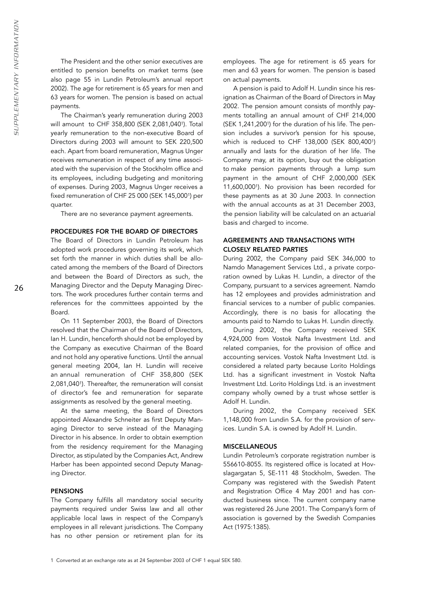The President and the other senior executives are entitled to pension benefits on market terms (see also page 55 in Lundin Petroleum's annual report 2002). The age for retirement is 65 years for men and 63 years for women. The pension is based on actual payments.

The Chairman's yearly remuneration during 2003 will amount to CHF 358,800 (SEK 2,081,0401). Total yearly remuneration to the non-executive Board of Directors during 2003 will amount to SEK 220,500 each. Apart from board remuneration, Magnus Unger receives remuneration in respect of any time associated with the supervision of the Stockholm office and its employees, including budgeting and monitoring of expenses. During 2003, Magnus Unger receives a fixed remuneration of CHF 25 000 (SEK 145,0001) per quarter.

There are no severance payment agreements.

#### PROCEDURES FOR THE BOARD OF DIRECTORS

The Board of Directors in Lundin Petroleum has adopted work procedures governing its work, which set forth the manner in which duties shall be allocated among the members of the Board of Directors and between the Board of Directors as such, the Managing Director and the Deputy Managing Directors. The work procedures further contain terms and references for the committees appointed by the Board.

On 11 September 2003, the Board of Directors resolved that the Chairman of the Board of Directors, Ian H. Lundin, henceforth should not be employed by the Company as executive Chairman of the Board and not hold any operative functions. Until the annual general meeting 2004, Ian H. Lundin will receive an annual remuneration of CHF 358,800 (SEK 2,081,0401). Thereafter, the remuneration will consist of director's fee and remuneration for separate assignments as resolved by the general meeting.

At the same meeting, the Board of Directors appointed Alexandre Schneiter as first Deputy Managing Director to serve instead of the Managing Director in his absence. In order to obtain exemption from the residency requirement for the Managing Director, as stipulated by the Companies Act, Andrew Harber has been appointed second Deputy Managing Director.

#### **PENSIONS**

The Company fulfills all mandatory social security payments required under Swiss law and all other applicable local laws in respect of the Company's employees in all relevant jurisdictions. The Company has no other pension or retirement plan for its

employees. The age for retirement is 65 years for men and 63 years for women. The pension is based on actual payments.

A pension is paid to Adolf H. Lundin since his resignation as Chairman of the Board of Directors in May 2002. The pension amount consists of monthly payments totalling an annual amount of CHF 214,000 (SEK 1,241,2001) for the duration of his life. The pension includes a survivor's pension for his spouse, which is reduced to CHF 138,000 (SEK 800,4001) annually and lasts for the duration of her life. The Company may, at its option, buy out the obligation to make pension payments through a lump sum payment in the amount of CHF 2,000,000 (SEK 11,600,0001). No provision has been recorded for these payments as at 30 June 2003. In connection with the annual accounts as at 31 December 2003, the pension liability will be calculated on an actuarial basis and charged to income.

## AGREEMENTS AND TRANSACTIONS WITH CLOSELY RELATED PARTIES

During 2002, the Company paid SEK 346,000 to Namdo Management Services Ltd., a private corporation owned by Lukas H. Lundin, a director of the Company, pursuant to a services agreement. Namdo has 12 employees and provides administration and financial services to a number of public companies. Accordingly, there is no basis for allocating the amounts paid to Namdo to Lukas H. Lundin directly.

During 2002, the Company received SEK 4,924,000 from Vostok Nafta Investment Ltd. and related companies, for the provision of office and accounting services. Vostok Nafta Investment Ltd. is considered a related party because Lorito Holdings Ltd. has a significant investment in Vostok Nafta Investment Ltd. Lorito Holdings Ltd. is an investment company wholly owned by a trust whose settler is Adolf H. Lundin.

During 2002, the Company received SEK 1,148,000 from Lundin S.A. for the provision of services. Lundin S.A. is owned by Adolf H. Lundin.

#### **MISCELLANEOUS**

Lundin Petroleum's corporate registration number is 556610-8055. Its registered office is located at Hovslagargatan 5, SE-111 48 Stockholm, Sweden. The Company was registered with the Swedish Patent and Registration Office 4 May 2001 and has conducted business since. The current company name was registered 26 June 2001. The Company's form of association is governed by the Swedish Companies Act (1975:1385).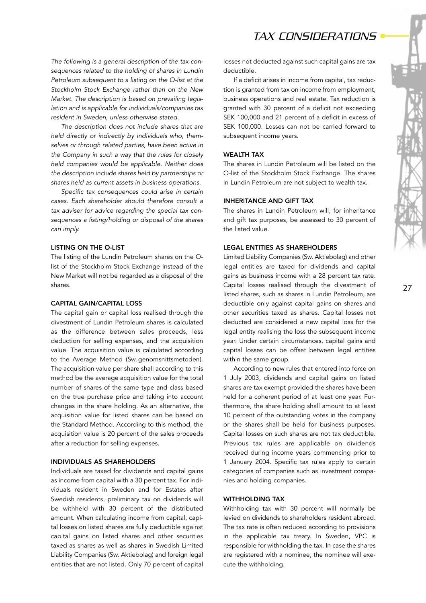*The following is a general description of the tax consequences related to the holding of shares in Lundin Petroleum subsequent to a listing on the O-list at the Stockholm Stock Exchange rather than on the New Market. The description is based on prevailing legislation and is applicable for individuals/companies tax resident in Sweden, unless otherwise stated.* 

*The description does not include shares that are held directly or indirectly by individuals who, themselves or through related parties, have been active in the Company in such a way that the rules for closely held companies would be applicable. Neither does the description include shares held by partnerships or shares held as current assets in business operations.*

*Specific tax consequences could arise in certain cases. Each shareholder should therefore consult a tax adviser for advice regarding the special tax consequences a listing/holding or disposal of the shares can imply.* 

### LISTING ON THE O-LIST

The listing of the Lundin Petroleum shares on the Olist of the Stockholm Stock Exchange instead of the New Market will not be regarded as a disposal of the shares.

### CAPITAL GAIN/CAPITAL LOSS

The capital gain or capital loss realised through the divestment of Lundin Petroleum shares is calculated as the difference between sales proceeds, less deduction for selling expenses, and the acquisition value. The acquisition value is calculated according to the Average Method (Sw. genomsnittsmetoden). The acquisition value per share shall according to this method be the average acquisition value for the total number of shares of the same type and class based on the true purchase price and taking into account changes in the share holding. As an alternative, the acquisition value for listed shares can be based on the Standard Method. According to this method, the acquisition value is 20 percent of the sales proceeds after a reduction for selling expenses.

#### INDIVIDUALS AS SHAREHOLDERS

Individuals are taxed for dividends and capital gains as income from capital with a 30 percent tax. For individuals resident in Sweden and for Estates after Swedish residents, preliminary tax on dividends will be withheld with 30 percent of the distributed amount. When calculating income from capital, capital losses on listed shares are fully deductible against capital gains on listed shares and other securities taxed as shares as well as shares in Swedish Limited Liability Companies (Sw. Aktiebolag) and foreign legal entities that are not listed. Only 70 percent of capital losses not deducted against such capital gains are tax deductible.

If a deficit arises in income from capital, tax reduction is granted from tax on income from employment, business operations and real estate. Tax reduction is granted with 30 percent of a deficit not exceeding SEK 100,000 and 21 percent of a deficit in excess of SEK 100,000. Losses can not be carried forward to subsequent income years.

#### WEALTH TAX

The shares in Lundin Petroleum will be listed on the O-list of the Stockholm Stock Exchange. The shares in Lundin Petroleum are not subject to wealth tax.

#### INHERITANCE AND GIFT TAX

The shares in Lundin Petroleum will, for inheritance and gift tax purposes, be assessed to 30 percent of the listed value.

### LEGAL ENTITIES AS SHAREHOLDERS

Limited Liability Companies (Sw. Aktiebolag) and other legal entities are taxed for dividends and capital gains as business income with a 28 percent tax rate. Capital losses realised through the divestment of listed shares, such as shares in Lundin Petroleum, are deductible only against capital gains on shares and other securities taxed as shares. Capital losses not deducted are considered a new capital loss for the legal entity realising the loss the subsequent income year. Under certain circumstances, capital gains and capital losses can be offset between legal entities within the same group.

According to new rules that entered into force on 1 July 2003, dividends and capital gains on listed shares are tax exempt provided the shares have been held for a coherent period of at least one year. Furthermore, the share holding shall amount to at least 10 percent of the outstanding votes in the company or the shares shall be held for business purposes. Capital losses on such shares are not tax deductible. Previous tax rules are applicable on dividends received during income years commencing prior to 1 January 2004. Specific tax rules apply to certain categories of companies such as investment companies and holding companies.

### WITHHOLDING TAX

Withholding tax with 30 percent will normally be levied on dividends to shareholders resident abroad. The tax rate is often reduced according to provisions in the applicable tax treaty. In Sweden, VPC is responsible for withholding the tax. In case the shares are registered with a nominee, the nominee will execute the withholding.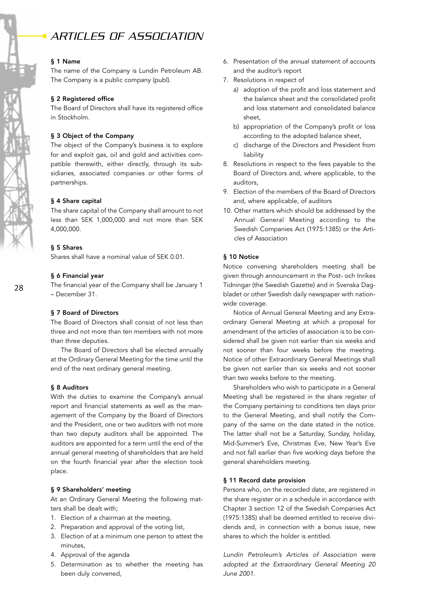# *ARTICLES OF ASSOCIATION*

#### § 1 Name

The name of the Company is Lundin Petroleum AB. The Company is a public company (publ).

## § 2 Registered office

The Board of Directors shall have its registered office in Stockholm.

#### § 3 Object of the Company

The object of the Company's business is to explore for and exploit gas, oil and gold and activities compatible therewith, either directly, through its subsidiaries, associated companies or other forms of partnerships.

#### § 4 Share capital

The share capital of the Company shall amount to not less than SEK 1,000,000 and not more than SEK 4,000,000.

#### § 5 Shares

Shares shall have a nominal value of SEK 0.01.

#### § 6 Financial year

The financial year of the Company shall be January 1 – December 31.

## § 7 Board of Directors

The Board of Directors shall consist of not less than three and not more than ten members with not more than three deputies.

The Board of Directors shall be elected annually at the Ordinary General Meeting for the time until the end of the next ordinary general meeting.

#### § 8 Auditors

With the duties to examine the Company's annual report and financial statements as well as the management of the Company by the Board of Directors and the President, one or two auditors with not more than two deputy auditors shall be appointed. The auditors are appointed for a term until the end of the annual general meeting of shareholders that are held on the fourth financial year after the election took place.

#### § 9 Shareholders' meeting

At an Ordinary General Meeting the following matters shall be dealt with;

- 1. Election of a chairman at the meeting,
- 2. Preparation and approval of the voting list,
- 3. Election of at a minimum one person to attest the minutes,
- 4. Approval of the agenda
- 5. Determination as to whether the meeting has been duly convened,
- 6. Presentation of the annual statement of accounts and the auditor's report
- 7. Resolutions in respect of
	- a) adoption of the profit and loss statement and the balance sheet and the consolidated profit and loss statement and consolidated balance sheet,
	- b) appropriation of the Company's profit or loss according to the adopted balance sheet,
	- c) discharge of the Directors and President from liability
- 8. Resolutions in respect to the fees payable to the Board of Directors and, where applicable, to the auditors,
- 9. Election of the members of the Board of Directors and, where applicable, of auditors
- 10. Other matters which should be addressed by the Annual General Meeting according to the Swedish Companies Act (1975:1385) or the Articles of Association

#### § 10 Notice

Notice convening shareholders meeting shall be given through announcement in the Post- och Inrikes Tidningar (the Swedish Gazette) and in Svenska Dagbladet or other Swedish daily newspaper with nationwide coverage.

Notice of Annual General Meeting and any Extraordinary General Meeting at which a proposal for amendment of the articles of association is to be considered shall be given not earlier than six weeks and not sooner than four weeks before the meeting. Notice of other Extraordinary General Meetings shall be given not earlier than six weeks and not sooner than two weeks before to the meeting.

Shareholders who wish to participate in a General Meeting shall be registered in the share register of the Company pertaining to conditions ten days prior to the General Meeting, and shall notify the Company of the same on the date stated in the notice. The latter shall not be a Saturday, Sunday, holiday, Mid-Summer's Eve, Christmas Eve, New Year's Eve and not fall earlier than five working days before the general shareholders meeting.

#### § 11 Record date provision

Persons who, on the recorded date, are registered in the share register or in a schedule in accordance with Chapter 3 section 12 of the Swedish Companies Act (1975:1385) shall be deemed entitled to receive dividends and, in connection with a bonus issue, new shares to which the holder is entitled.

*Lundin Petroleum's Articles of Association were adopted at the Extraordinary General Meeting 20 June 2001.*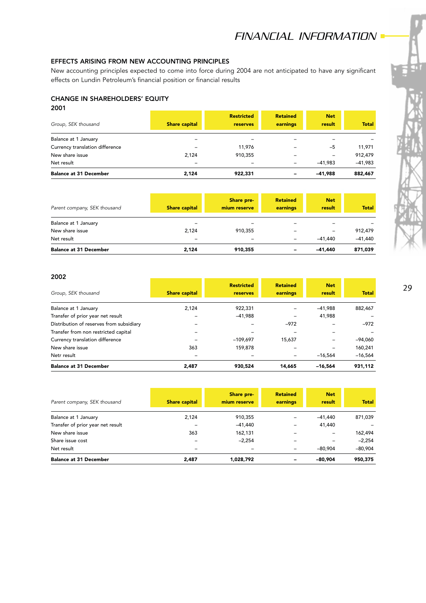# EFFECTS ARISING FROM NEW ACCOUNTING PRINCIPLES

New accounting principles expected to come into force during 2004 are not anticipated to have any significant effects on Lundin Petroleum's financial position or financial results

# CHANGE IN SHAREHOLDERS' EQUITY

## 2001

| Group, SEK thousand             | <b>Share capital</b>     | <b>Restricted</b><br>reserves | <b>Retained</b><br>earnings | <b>Net</b><br>result | <b>Total</b> |
|---------------------------------|--------------------------|-------------------------------|-----------------------------|----------------------|--------------|
| Balance at 1 January            |                          |                               |                             |                      |              |
| Currency translation difference |                          | 11,976                        |                             | $-5$                 | 11,971       |
| New share issue                 | 2.124                    | 910,355                       |                             | $\qquad \qquad$      | 912,479      |
| Net result                      | $\overline{\phantom{a}}$ | -                             |                             | $-41.983$            | $-41,983$    |
| <b>Balance at 31 December</b>   | 2.124                    | 922.331                       | -                           | $-41.988$            | 882,467      |

| Parent company, SEK thousand  | <b>Share capital</b>     | Share pre-<br>mium reserve | <b>Retained</b><br>earnings | <b>Net</b><br>result | <b>Total</b> |
|-------------------------------|--------------------------|----------------------------|-----------------------------|----------------------|--------------|
| Balance at 1 January          |                          | $\overline{\phantom{a}}$   | $\overline{\phantom{0}}$    | -                    |              |
| New share issue               | 2.124                    | 910.355                    |                             | -                    | 912,479      |
| Net result                    | $\overline{\phantom{0}}$ | $\overline{\phantom{m}}$   | $\overline{\phantom{a}}$    | $-41.440$            | $-41.440$    |
| <b>Balance at 31 December</b> | 2.124                    | 910.355                    | -                           | -41.440              | 871,039      |

## 2002

|                                          |                      | <b>Restricted</b> | <b>Retained</b> | <b>Net</b>        |              |
|------------------------------------------|----------------------|-------------------|-----------------|-------------------|--------------|
| Group, SEK thousand                      | <b>Share capital</b> | reserves          | earnings        | result            | <b>Total</b> |
| Balance at 1 January                     | 2.124                | 922,331           |                 | $-41.988$         | 882,467      |
| Transfer of prior year net result        |                      | $-41.988$         |                 | 41,988            |              |
| Distribution of reserves from subsidiary |                      |                   | $-972$          |                   | $-972$       |
| Transfer from non restricted capital     |                      |                   |                 |                   |              |
| Currency translation difference          |                      | $-109.697$        | 15,637          | $\qquad \qquad -$ | $-94,060$    |
| New share issue                          | 363                  | 159,878           |                 |                   | 160,241      |
| Netr result                              |                      |                   |                 | $-16.564$         | $-16,564$    |
| <b>Balance at 31 December</b>            | 2.487                | 930.524           | 14.665          | $-16.564$         | 931.112      |

| Parent company, SEK thousand      | <b>Share capital</b>     | <b>Share pre-</b><br>mium reserve | <b>Retained</b><br>earnings  | <b>Net</b><br>result | <b>Total</b> |
|-----------------------------------|--------------------------|-----------------------------------|------------------------------|----------------------|--------------|
| Balance at 1 January              | 2.124                    | 910,355                           | $\overline{\phantom{0}}$     | $-41,440$            | 871,039      |
| Transfer of prior year net result |                          | $-41.440$                         | $\qquad \qquad$              | 41,440               |              |
| New share issue                   | 363                      | 162,131                           | $\overline{\phantom{m}}$     |                      | 162,494      |
| Share issue cost                  |                          | $-2.254$                          | $\qquad \qquad \blacksquare$ |                      | $-2.254$     |
| Net result                        | $\overline{\phantom{m}}$ | $\overline{\phantom{0}}$          | -                            | $-80.904$            | $-80,904$    |
| <b>Balance at 31 December</b>     | 2,487                    | 1,028,792                         | -                            | $-80.904$            | 950,375      |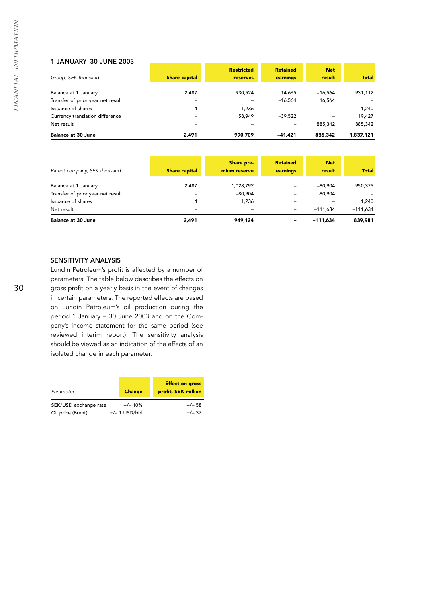## 1 JANUARY–30 JUNE 2003

|                                   |                          | <b>Restricted</b> | <b>Retained</b> | <b>Net</b> |              |
|-----------------------------------|--------------------------|-------------------|-----------------|------------|--------------|
| Group, SEK thousand               | <b>Share capital</b>     | <b>reserves</b>   | earnings        | result     | <b>Total</b> |
| Balance at 1 January              | 2.487                    | 930.524           | 14,665          | $-16.564$  | 931,112      |
| Transfer of prior year net result |                          |                   | $-16.564$       | 16,564     |              |
| Issuance of shares                | 4                        | 1.236             |                 |            | 1.240        |
| Currency translation difference   |                          | 58,949            | $-39.522$       |            | 19.427       |
| Net result                        | $\overline{\phantom{0}}$ | $\qquad \qquad$   |                 | 885,342    | 885,342      |
| <b>Balance at 30 June</b>         | 2,491                    | 990.709           | $-41.421$       | 885.342    | 1,837,121    |

| Parent company, SEK thousand      | <b>Share capital</b>     | Share pre-<br>mium reserve | <b>Retained</b><br>earnings | <b>Net</b><br>result | <b>Total</b> |
|-----------------------------------|--------------------------|----------------------------|-----------------------------|----------------------|--------------|
| Balance at 1 January              | 2,487                    | 1,028,792                  | $\qquad \qquad -$           | $-80.904$            | 950,375      |
| Transfer of prior year net result |                          | $-80.904$                  | $\qquad \qquad -$           | 80,904               |              |
| Issuance of shares                | 4                        | 1.236                      | $\qquad \qquad -$           |                      | 1.240        |
| Net result                        | $\overline{\phantom{m}}$ | $\overline{\phantom{m}}$   | $\overline{\phantom{a}}$    | $-111.634$           | $-111.634$   |
| <b>Balance at 30 June</b>         | 2,491                    | 949.124                    | -                           | $-111.634$           | 839,981      |

## SENSITIVITY ANALYSIS

Lundin Petroleum's profit is affected by a number of parameters. The table below describes the effects on gross profit on a yearly basis in the event of changes in certain parameters. The reported effects are based on Lundin Petroleum's oil production during the period 1 January – 30 June 2003 and on the Company's income statement for the same period (see reviewed interim report). The sensitivity analysis should be viewed as an indication of the effects of an isolated change in each parameter.

| Parameter             | <b>Change</b>   | <b>Effect on gross</b><br>profit, SEK million |
|-----------------------|-----------------|-----------------------------------------------|
| SEK/USD exchange rate | $+/- 10%$       | $+/- 58$                                      |
| Oil price (Brent)     | $+/- 1$ USD/bbl | $+/- 37$                                      |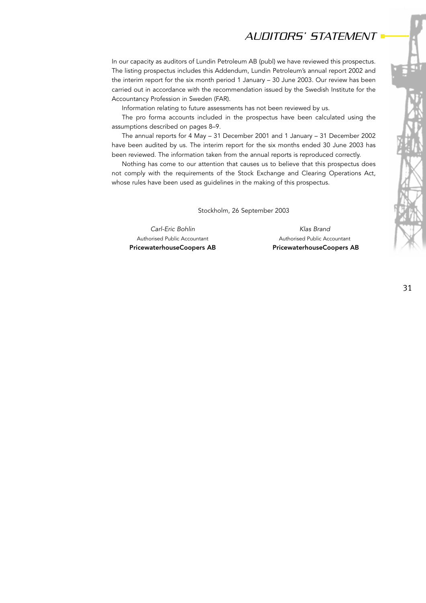# *AUDITORS' STATEMENT*

In our capacity as auditors of Lundin Petroleum AB (publ) we have reviewed this prospectus. The listing prospectus includes this Addendum, Lundin Petroleum's annual report 2002 and the interim report for the six month period 1 January – 30 June 2003. Our review has been carried out in accordance with the recommendation issued by the Swedish Institute for the Accountancy Profession in Sweden (FAR).

Information relating to future assessments has not been reviewed by us.

The pro forma accounts included in the prospectus have been calculated using the assumptions described on pages 8–9.

The annual reports for 4 May – 31 December 2001 and 1 January – 31 December 2002 have been audited by us. The interim report for the six months ended 30 June 2003 has been reviewed. The information taken from the annual reports is reproduced correctly.

Nothing has come to our attention that causes us to believe that this prospectus does not comply with the requirements of the Stock Exchange and Clearing Operations Act, whose rules have been used as guidelines in the making of this prospectus.

Stockholm, 26 September 2003

*Carl-Eric Bohlin Klas Brand* 

Authorised Public Accountant Authorised Public Accountant PricewaterhouseCoopers AB PricewaterhouseCoopers AB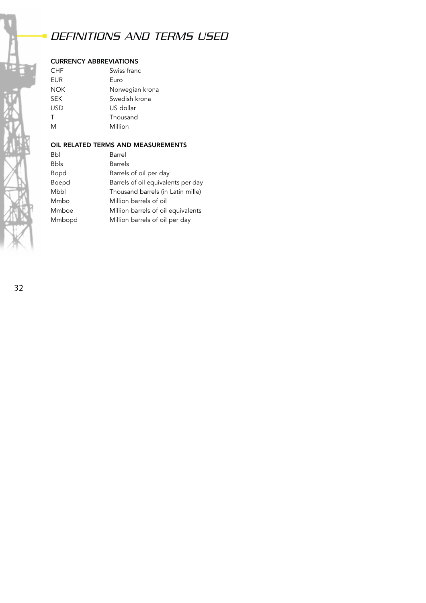# *DEFINITIONS AND TERMS USED*

# CURRENCY ABBREVIATIONS

| CHF        | Swiss franc     |
|------------|-----------------|
| EUR        | Euro            |
| NOK        | Norwegian krona |
| <b>SEK</b> | Swedish krona   |
| USD        | US dollar       |
| т          | Thousand        |
| M          | Million         |
|            |                 |

# OIL RELATED TERMS AND MEASUREMENTS

| Bbl         | Barrel                             |
|-------------|------------------------------------|
| <b>Bbls</b> | <b>Barrels</b>                     |
| Bopd        | Barrels of oil per day             |
| Boepd       | Barrels of oil equivalents per day |
| Mbbl        | Thousand barrels (in Latin mille)  |
| Mmbo        | Million barrels of oil             |
| Mmboe       | Million barrels of oil equivalents |
| Mmbopd      | Million barrels of oil per day     |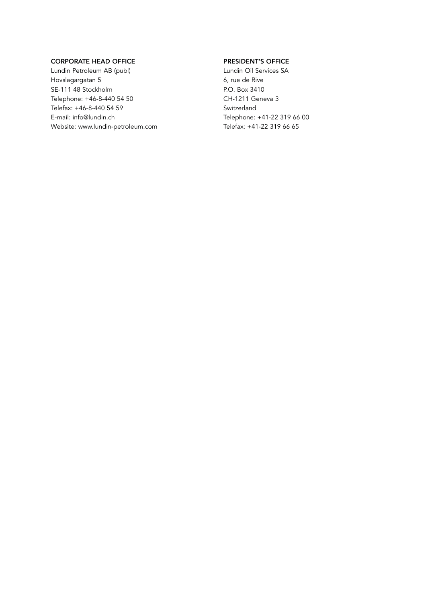# CORPORATE HEAD OFFICE

Lundin Petroleum AB (publ) Hovslagargatan 5 SE-111 48 Stockholm Telephone: +46-8-440 54 50 Telefax: +46-8-440 54 59 E-mail: info@lundin.ch Website: www.lundin-petroleum.com

# PRESIDENT'S OFFICE

Lundin Oil Services SA 6, rue de Rive P.O. Box 3410 CH-1211 Geneva 3 Switzerland Telephone: +41-22 319 66 00 Telefax: +41-22 319 66 65